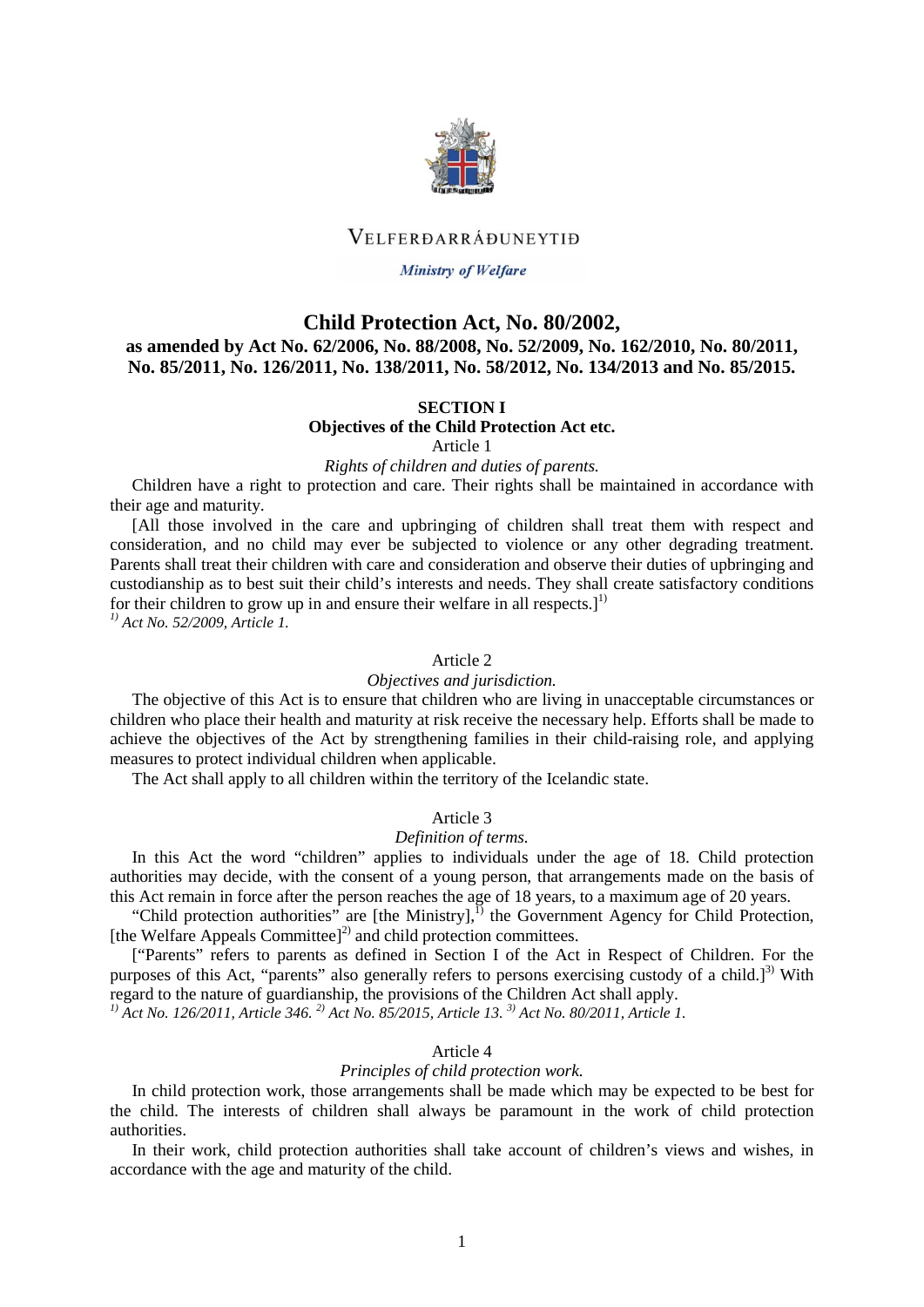

# VELFERDARRÁĐUNEYTIĐ

#### **Ministry of Welfare**

## **Child Protection Act, No. 80/2002,**

**as amended by Act No. 62/2006, No. 88/2008, No. 52/2009, No. 162/2010, No. 80/2011, No. 85/2011, No. 126/2011, No. 138/2011, No. 58/2012, No. 134/2013 and No. 85/2015.**

#### **SECTION I**

**Objectives of the Child Protection Act etc.**

Article 1

*Rights of children and duties of parents.*

Children have a right to protection and care. Their rights shall be maintained in accordance with their age and maturity.

[All those involved in the care and upbringing of children shall treat them with respect and consideration, and no child may ever be subjected to violence or any other degrading treatment. Parents shall treat their children with care and consideration and observe their duties of upbringing and custodianship as to best suit their child's interests and needs. They shall create satisfactory conditions for their children to grow up in and ensure their welfare in all respects.<sup>[1]</sup>

*1) Act No. 52/2009, Article 1.*

## Article 2

# *Objectives and jurisdiction.*

The objective of this Act is to ensure that children who are living in unacceptable circumstances or children who place their health and maturity at risk receive the necessary help. Efforts shall be made to achieve the objectives of the Act by strengthening families in their child-raising role, and applying measures to protect individual children when applicable.

The Act shall apply to all children within the territory of the Icelandic state.

#### Article 3

#### *Definition of terms.*

In this Act the word "children" applies to individuals under the age of 18. Child protection authorities may decide, with the consent of a young person, that arrangements made on the basis of this Act remain in force after the person reaches the age of 18 years, to a maximum age of 20 years.

"Child protection authorities" are [the Ministry], $^{1)}$  the Government Agency for Child Protection, [the Welfare Appeals Committee] $^{2)}$  and child protection committees.

["Parents" refers to parents as defined in Section I of the Act in Respect of Children. For the purposes of this Act, "parents" also generally refers to persons exercising custody of a child.]<sup>3)</sup> With regard to the nature of guardianship, the provisions of the Children Act shall apply.

*1) Act No. 126/2011, Article 346. 2) Act No. 85/2015, Article 13. 3) Act No. 80/2011, Article 1.* 

## Article 4

## *Principles of child protection work.*

In child protection work, those arrangements shall be made which may be expected to be best for the child. The interests of children shall always be paramount in the work of child protection authorities.

In their work, child protection authorities shall take account of children's views and wishes, in accordance with the age and maturity of the child.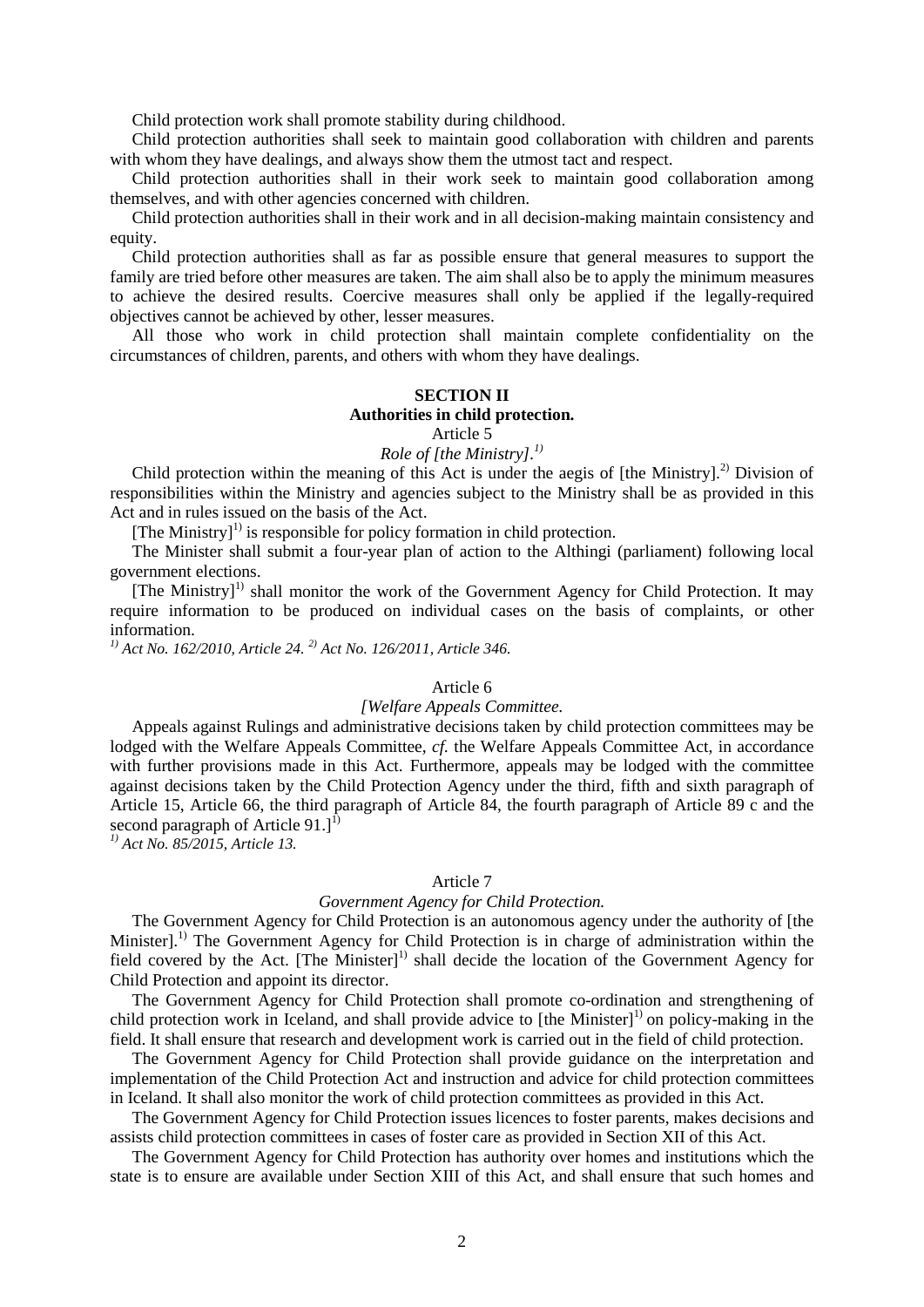Child protection work shall promote stability during childhood.

Child protection authorities shall seek to maintain good collaboration with children and parents with whom they have dealings, and always show them the utmost tact and respect.

Child protection authorities shall in their work seek to maintain good collaboration among themselves, and with other agencies concerned with children.

Child protection authorities shall in their work and in all decision-making maintain consistency and equity.

Child protection authorities shall as far as possible ensure that general measures to support the family are tried before other measures are taken. The aim shall also be to apply the minimum measures to achieve the desired results. Coercive measures shall only be applied if the legally-required objectives cannot be achieved by other, lesser measures.

All those who work in child protection shall maintain complete confidentiality on the circumstances of children, parents, and others with whom they have dealings.

# **SECTION II Authorities in child protection.**

Article 5

*Role of [the Ministry].1)*

Child protection within the meaning of this Act is under the aegis of  $[the$  Ministry].<sup>2)</sup> Division of responsibilities within the Ministry and agencies subject to the Ministry shall be as provided in this Act and in rules issued on the basis of the Act.

[The Ministry]<sup>1)</sup> is responsible for policy formation in child protection.

The Minister shall submit a four-year plan of action to the Althingi (parliament) following local government elections.

[The Ministry]<sup>1)</sup> shall monitor the work of the Government Agency for Child Protection. It may require information to be produced on individual cases on the basis of complaints, or other information.

*1) Act No. 162/2010, Article 24. 2) Act No. 126/2011, Article 346.*

## Article 6

## *[Welfare Appeals Committee.*

Appeals against Rulings and administrative decisions taken by child protection committees may be lodged with the Welfare Appeals Committee, *cf.* the Welfare Appeals Committee Act, in accordance with further provisions made in this Act. Furthermore, appeals may be lodged with the committee against decisions taken by the Child Protection Agency under the third, fifth and sixth paragraph of Article 15, Article 66, the third paragraph of Article 84, the fourth paragraph of Article 89 c and the second paragraph of Article 91.]<sup>1)</sup>

*1) Act No. 85/2015, Article 13.* 

#### Article 7

## *Government Agency for Child Protection.*

The Government Agency for Child Protection is an autonomous agency under the authority of [the Minister].<sup>1)</sup> The Government Agency for Child Protection is in charge of administration within the field covered by the Act.  $[The \text{ Minister}]$ <sup>1)</sup> shall decide the location of the Government Agency for Child Protection and appoint its director.

The Government Agency for Child Protection shall promote co-ordination and strengthening of child protection work in Iceland, and shall provide advice to  $[the$  Minister $]$ <sup>1)</sup> on policy-making in the field. It shall ensure that research and development work is carried out in the field of child protection.

The Government Agency for Child Protection shall provide guidance on the interpretation and implementation of the Child Protection Act and instruction and advice for child protection committees in Iceland. It shall also monitor the work of child protection committees as provided in this Act.

The Government Agency for Child Protection issues licences to foster parents, makes decisions and assists child protection committees in cases of foster care as provided in Section XII of this Act.

The Government Agency for Child Protection has authority over homes and institutions which the state is to ensure are available under Section XIII of this Act, and shall ensure that such homes and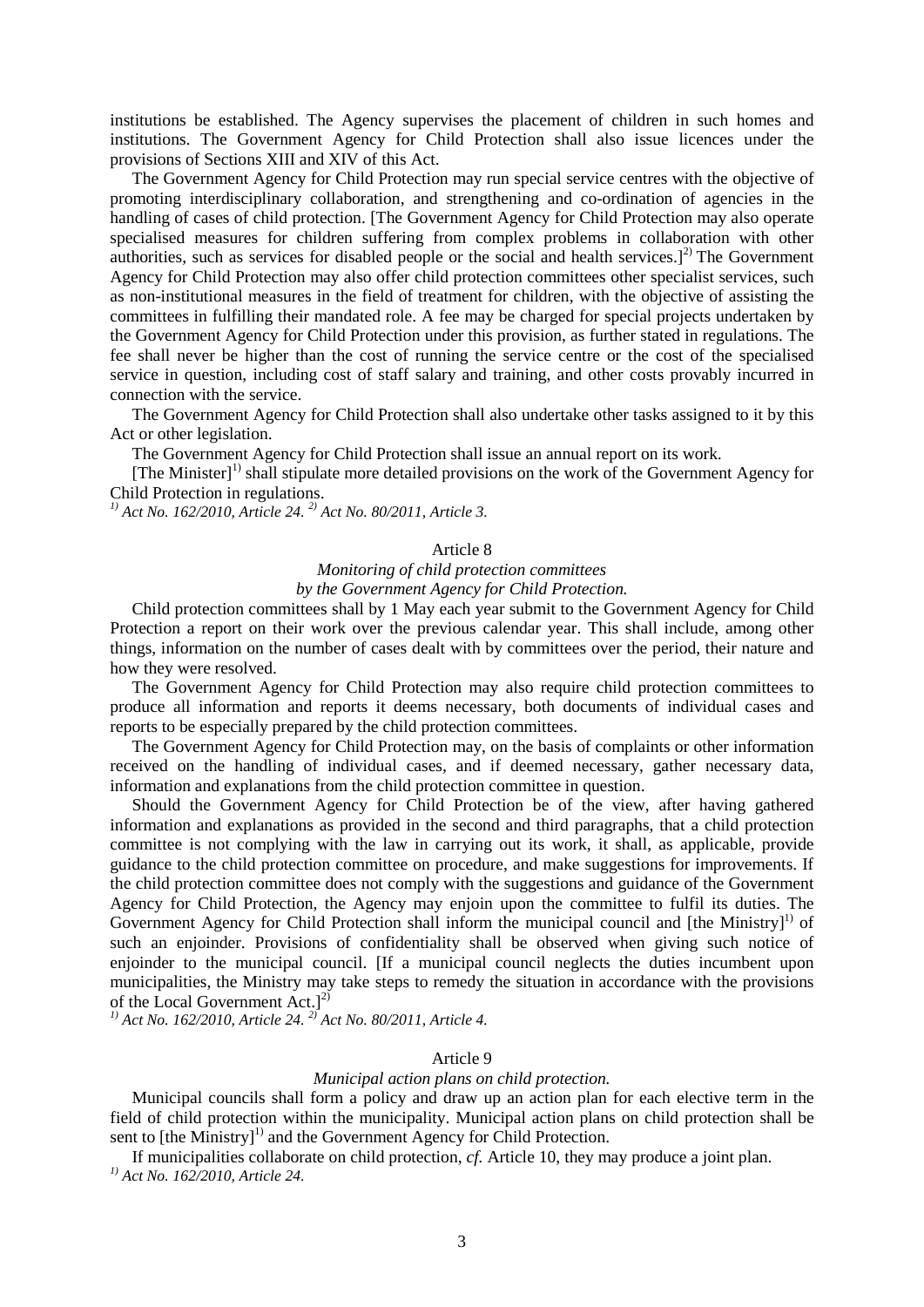institutions be established. The Agency supervises the placement of children in such homes and institutions. The Government Agency for Child Protection shall also issue licences under the provisions of Sections XIII and XIV of this Act.

The Government Agency for Child Protection may run special service centres with the objective of promoting interdisciplinary collaboration, and strengthening and co-ordination of agencies in the handling of cases of child protection. [The Government Agency for Child Protection may also operate specialised measures for children suffering from complex problems in collaboration with other authorities, such as services for disabled people or the social and health services. $]$ <sup>2)</sup> The Government Agency for Child Protection may also offer child protection committees other specialist services, such as non-institutional measures in the field of treatment for children, with the objective of assisting the committees in fulfilling their mandated role. A fee may be charged for special projects undertaken by the Government Agency for Child Protection under this provision, as further stated in regulations. The fee shall never be higher than the cost of running the service centre or the cost of the specialised service in question, including cost of staff salary and training, and other costs provably incurred in connection with the service.

The Government Agency for Child Protection shall also undertake other tasks assigned to it by this Act or other legislation.

The Government Agency for Child Protection shall issue an annual report on its work.

[The Minister]<sup>1)</sup> shall stipulate more detailed provisions on the work of the Government Agency for Child Protection in regulations.

*1) Act No. 162/2010, Article 24. 2) Act No. 80/2011, Article 3.*

## Article 8

## *Monitoring of child protection committees by the Government Agency for Child Protection.*

Child protection committees shall by 1 May each year submit to the Government Agency for Child Protection a report on their work over the previous calendar year. This shall include, among other things, information on the number of cases dealt with by committees over the period, their nature and how they were resolved.

The Government Agency for Child Protection may also require child protection committees to produce all information and reports it deems necessary, both documents of individual cases and reports to be especially prepared by the child protection committees.

The Government Agency for Child Protection may, on the basis of complaints or other information received on the handling of individual cases, and if deemed necessary, gather necessary data, information and explanations from the child protection committee in question.

Should the Government Agency for Child Protection be of the view, after having gathered information and explanations as provided in the second and third paragraphs, that a child protection committee is not complying with the law in carrying out its work, it shall, as applicable, provide guidance to the child protection committee on procedure, and make suggestions for improvements. If the child protection committee does not comply with the suggestions and guidance of the Government Agency for Child Protection, the Agency may enjoin upon the committee to fulfil its duties. The Government Agency for Child Protection shall inform the municipal council and [the Ministry]<sup>1)</sup> of such an enjoinder. Provisions of confidentiality shall be observed when giving such notice of enjoinder to the municipal council. [If a municipal council neglects the duties incumbent upon municipalities, the Ministry may take steps to remedy the situation in accordance with the provisions of the Local Government  $Act.$ ]<sup>2)</sup>

*1) Act No. 162/2010, Article 24. 2) Act No. 80/2011, Article 4.*

## Article 9

#### *Municipal action plans on child protection.*

Municipal councils shall form a policy and draw up an action plan for each elective term in the field of child protection within the municipality. Municipal action plans on child protection shall be sent to [the Ministry]<sup>1)</sup> and the Government Agency for Child Protection.

If municipalities collaborate on child protection, *cf.* Article 10, they may produce a joint plan. *1) Act No. 162/2010, Article 24.*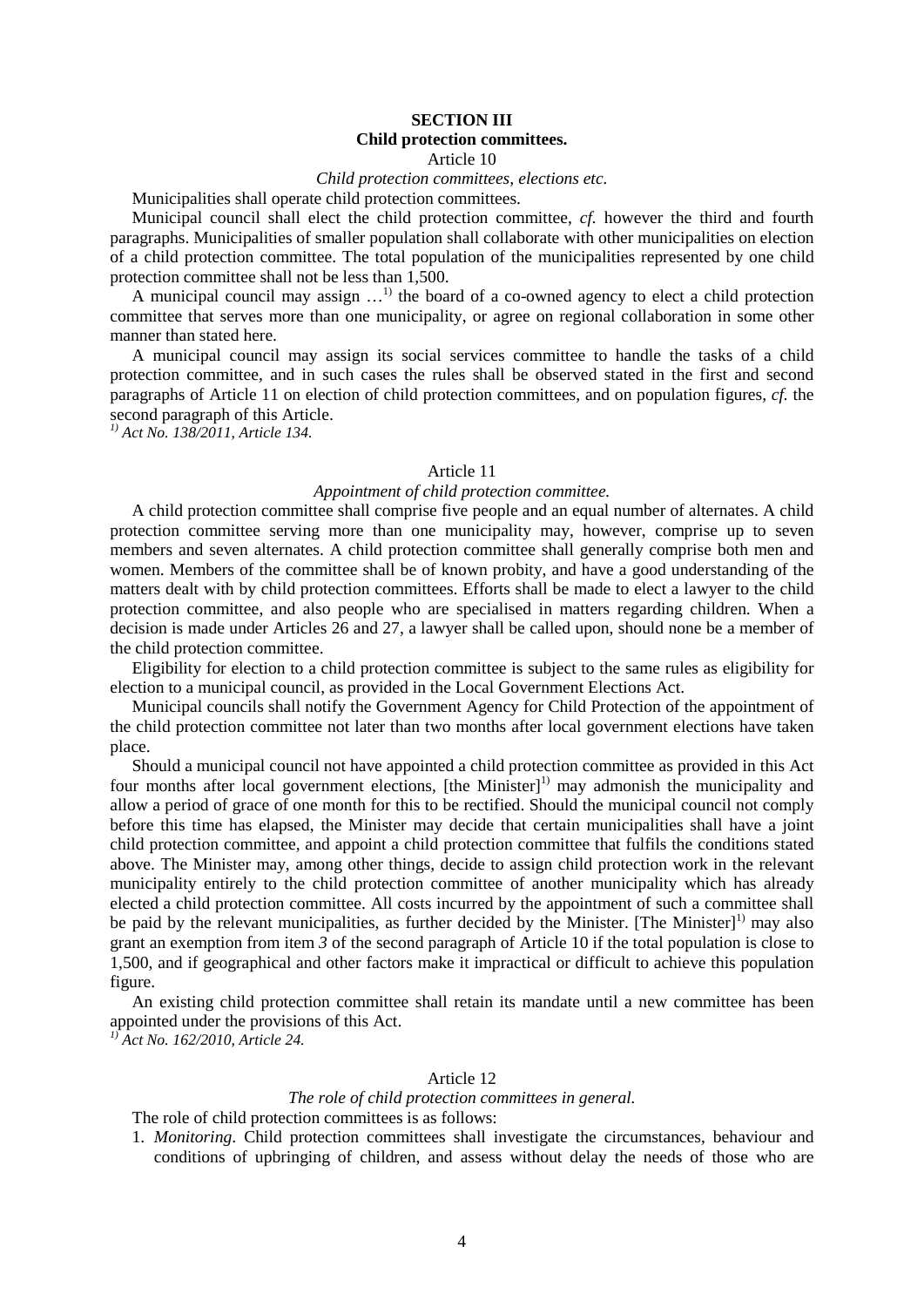## **SECTION III**

#### **Child protection committees.**

#### Article 10

## *Child protection committees, elections etc.*

Municipalities shall operate child protection committees.

Municipal council shall elect the child protection committee, *cf.* however the third and fourth paragraphs. Municipalities of smaller population shall collaborate with other municipalities on election of a child protection committee. The total population of the municipalities represented by one child protection committee shall not be less than 1,500.

A municipal council may assign  $\dots$ <sup>1)</sup> the board of a co-owned agency to elect a child protection committee that serves more than one municipality, or agree on regional collaboration in some other manner than stated here.

A municipal council may assign its social services committee to handle the tasks of a child protection committee, and in such cases the rules shall be observed stated in the first and second paragraphs of Article 11 on election of child protection committees, and on population figures, *cf.* the second paragraph of this Article. *1) Act No. 138/2011, Article 134.* 

## Article 11

## *Appointment of child protection committee.*

A child protection committee shall comprise five people and an equal number of alternates. A child protection committee serving more than one municipality may, however, comprise up to seven members and seven alternates. A child protection committee shall generally comprise both men and women. Members of the committee shall be of known probity, and have a good understanding of the matters dealt with by child protection committees. Efforts shall be made to elect a lawyer to the child protection committee, and also people who are specialised in matters regarding children. When a decision is made under Articles 26 and 27, a lawyer shall be called upon, should none be a member of the child protection committee.

Eligibility for election to a child protection committee is subject to the same rules as eligibility for election to a municipal council, as provided in the Local Government Elections Act.

Municipal councils shall notify the Government Agency for Child Protection of the appointment of the child protection committee not later than two months after local government elections have taken place.

Should a municipal council not have appointed a child protection committee as provided in this Act four months after local government elections, [the Minister]<sup>1)</sup> may admonish the municipality and allow a period of grace of one month for this to be rectified. Should the municipal council not comply before this time has elapsed, the Minister may decide that certain municipalities shall have a joint child protection committee, and appoint a child protection committee that fulfils the conditions stated above. The Minister may, among other things, decide to assign child protection work in the relevant municipality entirely to the child protection committee of another municipality which has already elected a child protection committee. All costs incurred by the appointment of such a committee shall be paid by the relevant municipalities, as further decided by the Minister. [The Minister]<sup>1)</sup> may also grant an exemption from item *3* of the second paragraph of Article 10 if the total population is close to 1,500, and if geographical and other factors make it impractical or difficult to achieve this population figure.

An existing child protection committee shall retain its mandate until a new committee has been appointed under the provisions of this Act.

*1) Act No. 162/2010, Article 24.*

#### Article 12

# *The role of child protection committees in general.*

The role of child protection committees is as follows:

1. *Monitoring*. Child protection committees shall investigate the circumstances, behaviour and conditions of upbringing of children, and assess without delay the needs of those who are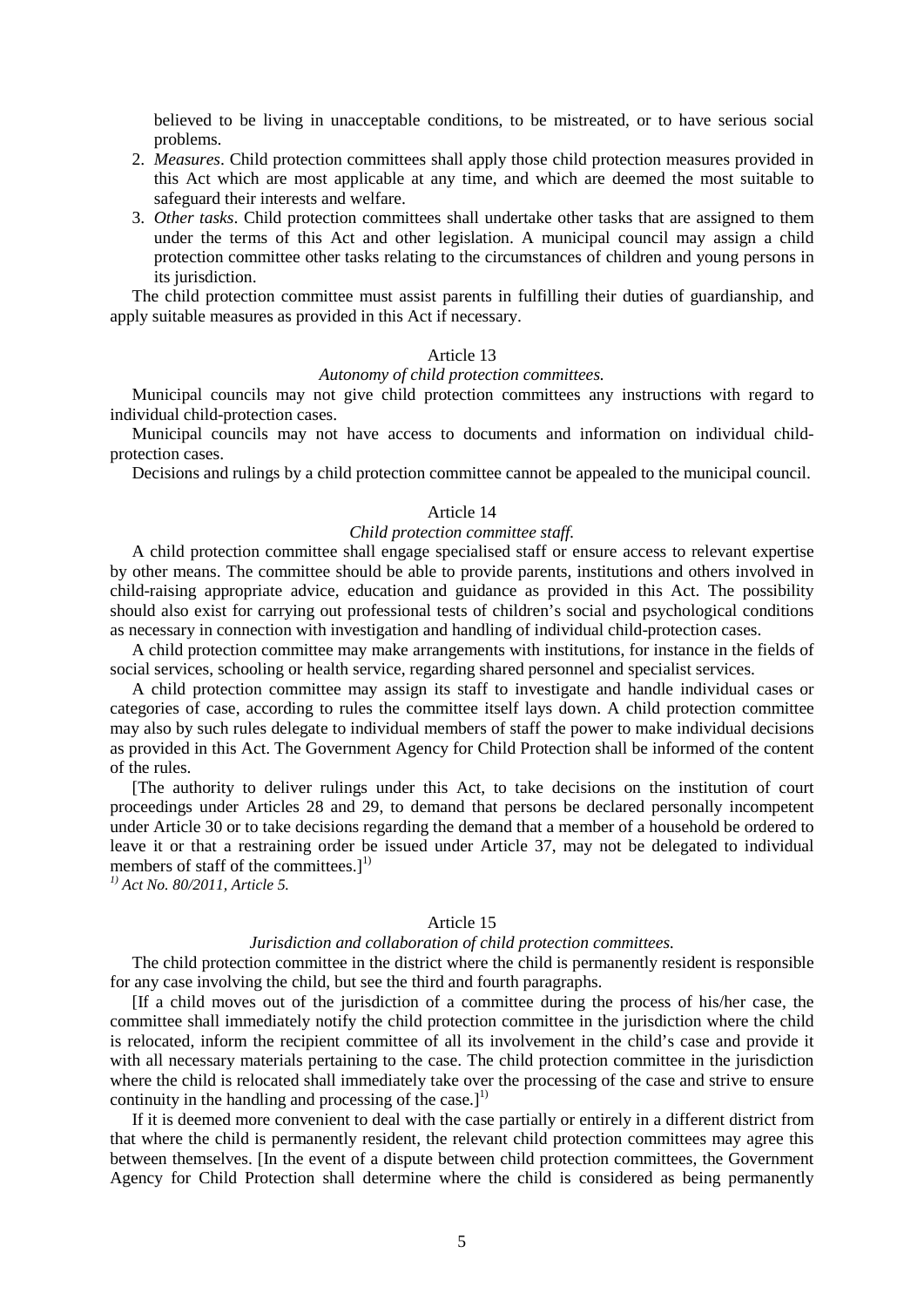believed to be living in unacceptable conditions, to be mistreated, or to have serious social problems.

- 2. *Measures*. Child protection committees shall apply those child protection measures provided in this Act which are most applicable at any time, and which are deemed the most suitable to safeguard their interests and welfare.
- 3. *Other tasks*. Child protection committees shall undertake other tasks that are assigned to them under the terms of this Act and other legislation. A municipal council may assign a child protection committee other tasks relating to the circumstances of children and young persons in its jurisdiction.

The child protection committee must assist parents in fulfilling their duties of guardianship, and apply suitable measures as provided in this Act if necessary.

## Article 13

## *Autonomy of child protection committees.*

Municipal councils may not give child protection committees any instructions with regard to individual child-protection cases.

Municipal councils may not have access to documents and information on individual childprotection cases.

Decisions and rulings by a child protection committee cannot be appealed to the municipal council.

#### Article 14

#### *Child protection committee staff.*

A child protection committee shall engage specialised staff or ensure access to relevant expertise by other means. The committee should be able to provide parents, institutions and others involved in child-raising appropriate advice, education and guidance as provided in this Act. The possibility should also exist for carrying out professional tests of children's social and psychological conditions as necessary in connection with investigation and handling of individual child-protection cases.

A child protection committee may make arrangements with institutions, for instance in the fields of social services, schooling or health service, regarding shared personnel and specialist services.

A child protection committee may assign its staff to investigate and handle individual cases or categories of case, according to rules the committee itself lays down. A child protection committee may also by such rules delegate to individual members of staff the power to make individual decisions as provided in this Act. The Government Agency for Child Protection shall be informed of the content of the rules.

[The authority to deliver rulings under this Act, to take decisions on the institution of court proceedings under Articles 28 and 29, to demand that persons be declared personally incompetent under Article 30 or to take decisions regarding the demand that a member of a household be ordered to leave it or that a restraining order be issued under Article 37, may not be delegated to individual members of staff of the committees.]<sup>1)</sup>

*1) Act No. 80/2011, Article 5.*

#### Article 15

#### *Jurisdiction and collaboration of child protection committees.*

The child protection committee in the district where the child is permanently resident is responsible for any case involving the child, but see the third and fourth paragraphs.

[If a child moves out of the jurisdiction of a committee during the process of his/her case, the committee shall immediately notify the child protection committee in the jurisdiction where the child is relocated, inform the recipient committee of all its involvement in the child's case and provide it with all necessary materials pertaining to the case. The child protection committee in the jurisdiction where the child is relocated shall immediately take over the processing of the case and strive to ensure continuity in the handling and processing of the case.] $^1$ 

If it is deemed more convenient to deal with the case partially or entirely in a different district from that where the child is permanently resident, the relevant child protection committees may agree this between themselves. [In the event of a dispute between child protection committees, the Government Agency for Child Protection shall determine where the child is considered as being permanently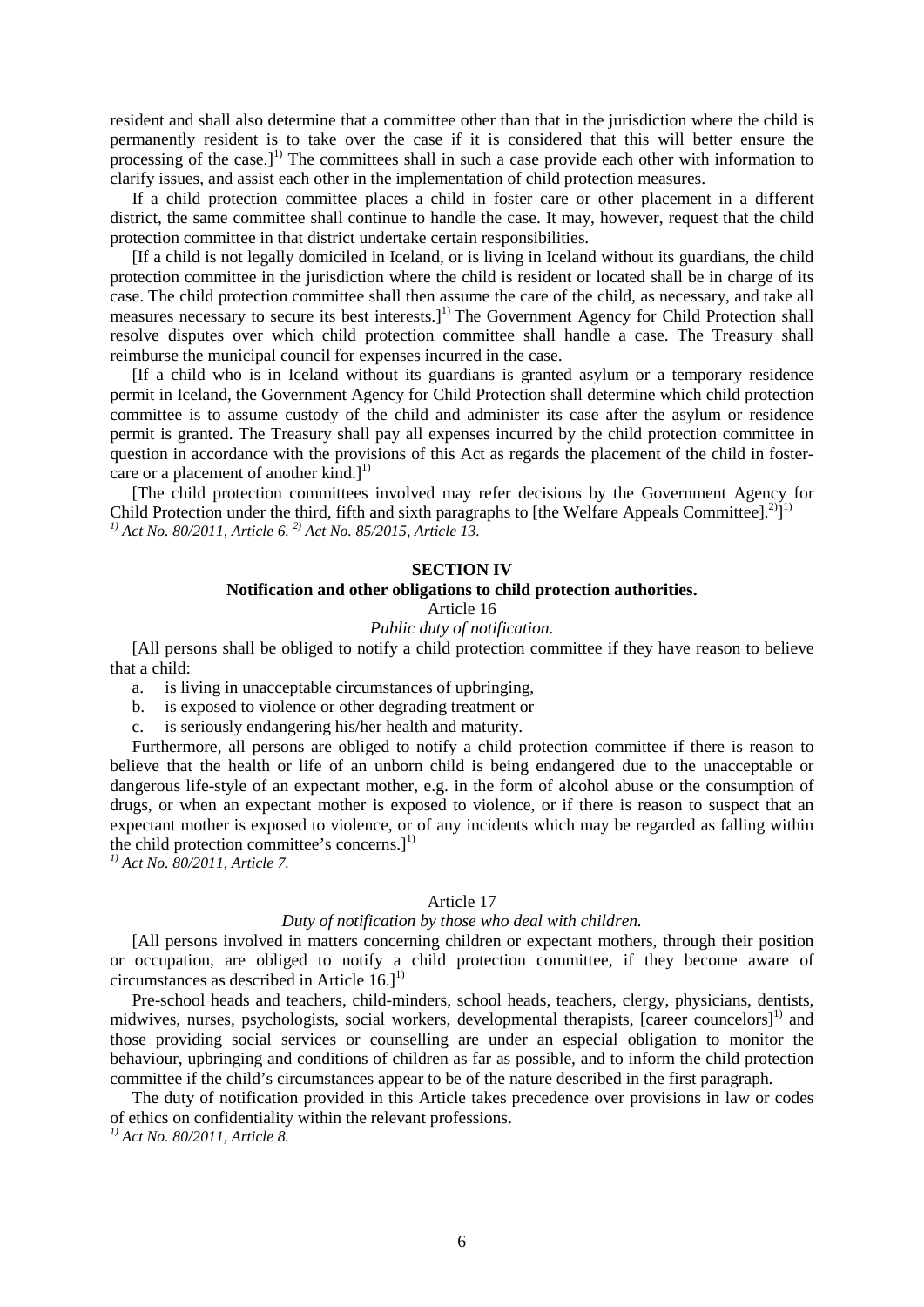resident and shall also determine that a committee other than that in the jurisdiction where the child is permanently resident is to take over the case if it is considered that this will better ensure the processing of the case.]<sup>1)</sup> The committees shall in such a case provide each other with information to clarify issues, and assist each other in the implementation of child protection measures.

If a child protection committee places a child in foster care or other placement in a different district, the same committee shall continue to handle the case. It may, however, request that the child protection committee in that district undertake certain responsibilities.

[If a child is not legally domiciled in Iceland, or is living in Iceland without its guardians, the child protection committee in the jurisdiction where the child is resident or located shall be in charge of its case. The child protection committee shall then assume the care of the child, as necessary, and take all measures necessary to secure its best interests.]<sup>1)</sup> The Government Agency for Child Protection shall resolve disputes over which child protection committee shall handle a case. The Treasury shall reimburse the municipal council for expenses incurred in the case.

[If a child who is in Iceland without its guardians is granted asylum or a temporary residence permit in Iceland, the Government Agency for Child Protection shall determine which child protection committee is to assume custody of the child and administer its case after the asylum or residence permit is granted. The Treasury shall pay all expenses incurred by the child protection committee in question in accordance with the provisions of this Act as regards the placement of the child in fostercare or a placement of another  $\text{kind.}]^1$ 

[The child protection committees involved may refer decisions by the Government Agency for Child Protection under the third, fifth and sixth paragraphs to [the Welfare Appeals Committee].<sup>2</sup>]<sup>1)</sup> *1) Act No. 80/2011, Article 6. 2) Act No. 85/2015, Article 13.*

## **SECTION IV**

## **Notification and other obligations to child protection authorities.**

Article 16

*Public duty of notification.*

[All persons shall be obliged to notify a child protection committee if they have reason to believe that a child:

a. is living in unacceptable circumstances of upbringing,

- b. is exposed to violence or other degrading treatment or
- c. is seriously endangering his/her health and maturity.

Furthermore, all persons are obliged to notify a child protection committee if there is reason to believe that the health or life of an unborn child is being endangered due to the unacceptable or dangerous life-style of an expectant mother, e.g. in the form of alcohol abuse or the consumption of drugs, or when an expectant mother is exposed to violence, or if there is reason to suspect that an expectant mother is exposed to violence, or of any incidents which may be regarded as falling within the child protection committee's concerns.]<sup>1)</sup>

*1) Act No. 80/2011, Article 7.*

#### Article 17

#### *Duty of notification by those who deal with children.*

[All persons involved in matters concerning children or expectant mothers, through their position or occupation, are obliged to notify a child protection committee, if they become aware of circumstances as described in Article  $16.]$ <sup>1)</sup>

Pre-school heads and teachers, child-minders, school heads, teachers, clergy, physicians, dentists, midwives, nurses, psychologists, social workers, developmental therapists, [career councelors]<sup>1)</sup> and those providing social services or counselling are under an especial obligation to monitor the behaviour, upbringing and conditions of children as far as possible, and to inform the child protection committee if the child's circumstances appear to be of the nature described in the first paragraph.

The duty of notification provided in this Article takes precedence over provisions in law or codes of ethics on confidentiality within the relevant professions.

*1) Act No. 80/2011, Article 8.*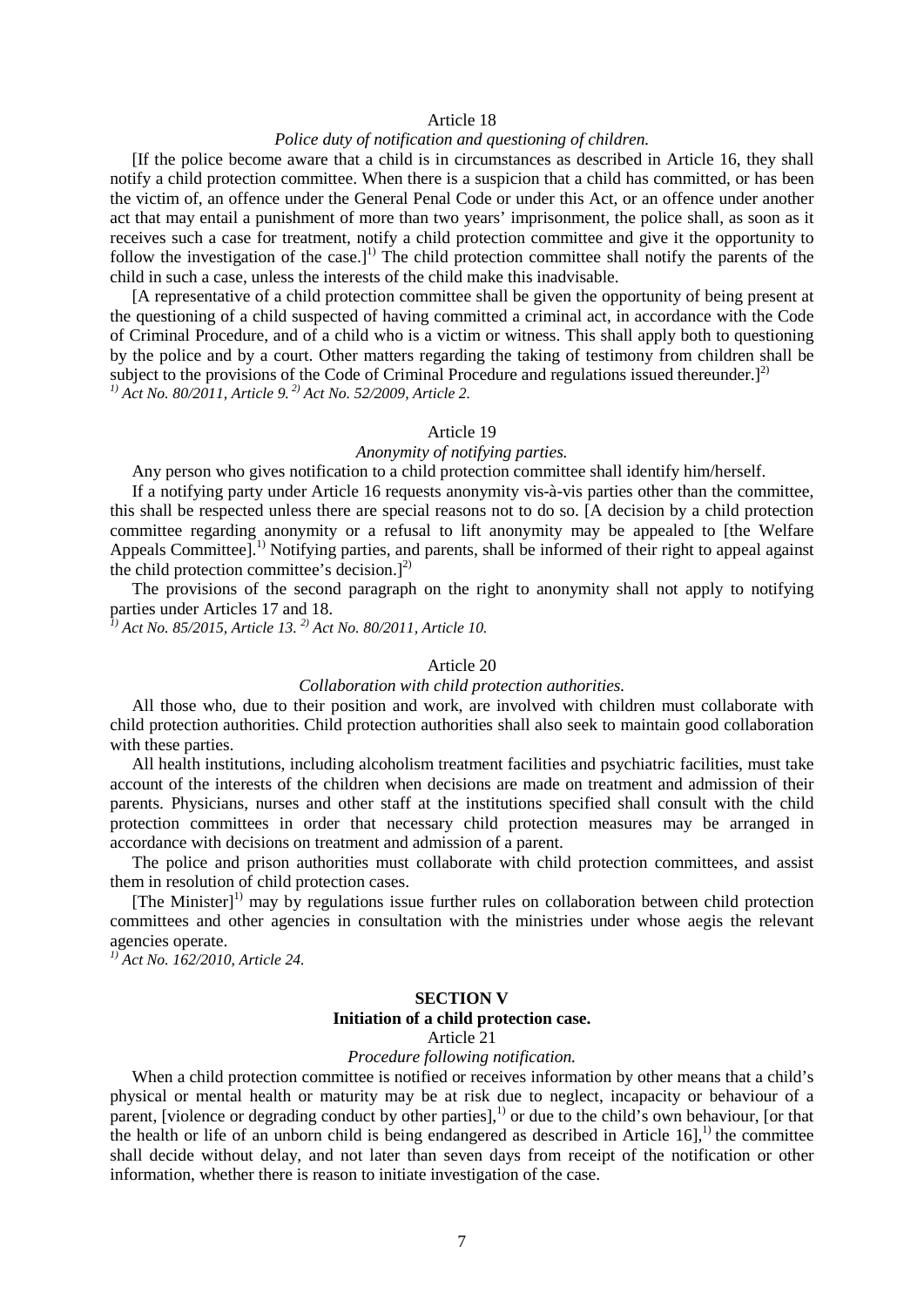## Article 18

## *Police duty of notification and questioning of children.*

[If the police become aware that a child is in circumstances as described in Article 16, they shall notify a child protection committee. When there is a suspicion that a child has committed, or has been the victim of, an offence under the General Penal Code or under this Act, or an offence under another act that may entail a punishment of more than two years' imprisonment, the police shall, as soon as it receives such a case for treatment, notify a child protection committee and give it the opportunity to follow the investigation of the case.]<sup>1)</sup> The child protection committee shall notify the parents of the child in such a case, unless the interests of the child make this inadvisable.

[A representative of a child protection committee shall be given the opportunity of being present at the questioning of a child suspected of having committed a criminal act, in accordance with the Code of Criminal Procedure, and of a child who is a victim or witness. This shall apply both to questioning by the police and by a court. Other matters regarding the taking of testimony from children shall be subject to the provisions of the Code of Criminal Procedure and regulations issued thereunder.]<sup>2)</sup> *1) Act No. 80/2011, Article 9. 2) Act No. 52/2009, Article 2.*

#### Article 19

#### *Anonymity of notifying parties.*

Any person who gives notification to a child protection committee shall identify him/herself.

If a notifying party under Article 16 requests anonymity vis-à-vis parties other than the committee, this shall be respected unless there are special reasons not to do so. [A decision by a child protection committee regarding anonymity or a refusal to lift anonymity may be appealed to [the Welfare Appeals Committee].<sup>1)</sup> Notifying parties, and parents, shall be informed of their right to appeal against the child protection committee's decision.]<sup>2)</sup>

The provisions of the second paragraph on the right to anonymity shall not apply to notifying parties under Articles 17 and 18.

*1) Act No. 85/2015, Article 13. 2) Act No. 80/2011, Article 10.*

#### Article 20

#### *Collaboration with child protection authorities.*

All those who, due to their position and work, are involved with children must collaborate with child protection authorities. Child protection authorities shall also seek to maintain good collaboration with these parties.

All health institutions, including alcoholism treatment facilities and psychiatric facilities, must take account of the interests of the children when decisions are made on treatment and admission of their parents. Physicians, nurses and other staff at the institutions specified shall consult with the child protection committees in order that necessary child protection measures may be arranged in accordance with decisions on treatment and admission of a parent.

The police and prison authorities must collaborate with child protection committees, and assist them in resolution of child protection cases.

[The Minister]<sup>1)</sup> may by regulations issue further rules on collaboration between child protection committees and other agencies in consultation with the ministries under whose aegis the relevant agencies operate.

*1) Act No. 162/2010, Article 24.*

#### **SECTION V**

#### **Initiation of a child protection case.**

Article 21

## *Procedure following notification.*

When a child protection committee is notified or receives information by other means that a child's physical or mental health or maturity may be at risk due to neglect, incapacity or behaviour of a parent, [violence or degrading conduct by other parties],<sup>1)</sup> or due to the child's own behaviour, [or that the health or life of an unborn child is being endangered as described in Article  $16$ <sup>1</sup>,<sup>1)</sup> the committee shall decide without delay, and not later than seven days from receipt of the notification or other information, whether there is reason to initiate investigation of the case.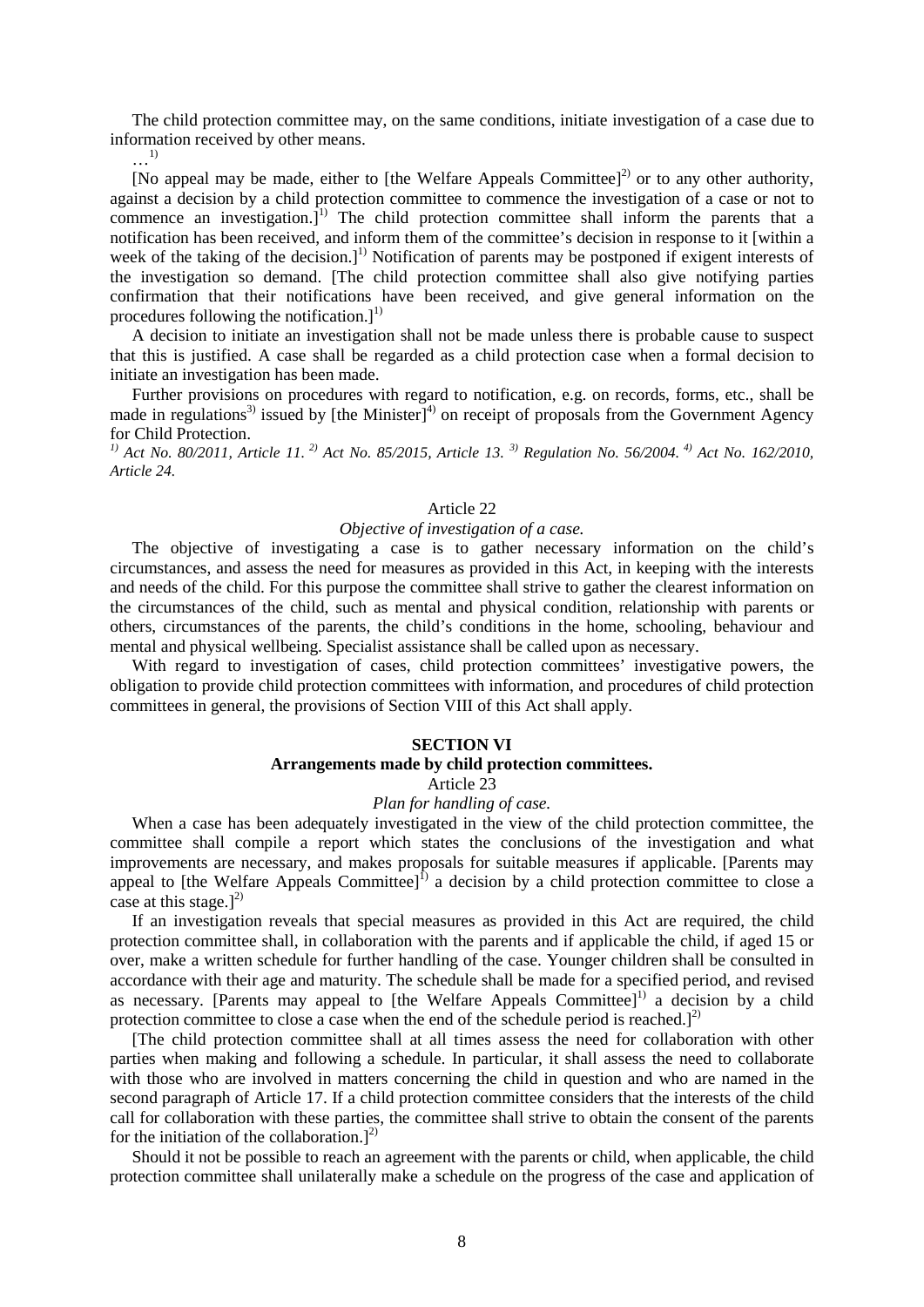The child protection committee may, on the same conditions, initiate investigation of a case due to information received by other means.

…1)

[No appeal may be made, either to [the Welfare Appeals Committee]<sup>2)</sup> or to any other authority, against a decision by a child protection committee to commence the investigation of a case or not to commence an investigation.]<sup>1)</sup> The child protection committee shall inform the parents that a notification has been received, and inform them of the committee's decision in response to it [within a week of the taking of the decision.]<sup>1)</sup> Notification of parents may be postponed if exigent interests of the investigation so demand. [The child protection committee shall also give notifying parties confirmation that their notifications have been received, and give general information on the procedures following the notification.]<sup>1)</sup>

A decision to initiate an investigation shall not be made unless there is probable cause to suspect that this is justified. A case shall be regarded as a child protection case when a formal decision to initiate an investigation has been made.

Further provisions on procedures with regard to notification, e.g. on records, forms, etc., shall be made in regulations<sup>3)</sup> issued by [the Minister]<sup>4)</sup> on receipt of proposals from the Government Agency for Child Protection.

*1) Act No. 80/2011, Article 11. 2) Act No. 85/2015, Article 13. 3) Regulation No. 56/2004. 4) Act No. 162/2010, Article 24.*

#### Article 22

#### *Objective of investigation of a case.*

The objective of investigating a case is to gather necessary information on the child's circumstances, and assess the need for measures as provided in this Act, in keeping with the interests and needs of the child. For this purpose the committee shall strive to gather the clearest information on the circumstances of the child, such as mental and physical condition, relationship with parents or others, circumstances of the parents, the child's conditions in the home, schooling, behaviour and mental and physical wellbeing. Specialist assistance shall be called upon as necessary.

With regard to investigation of cases, child protection committees' investigative powers, the obligation to provide child protection committees with information, and procedures of child protection committees in general, the provisions of Section VIII of this Act shall apply.

#### **SECTION VI**

## **Arrangements made by child protection committees.**

Article 23

#### *Plan for handling of case.*

When a case has been adequately investigated in the view of the child protection committee, the committee shall compile a report which states the conclusions of the investigation and what improvements are necessary, and makes proposals for suitable measures if applicable. [Parents may appeal to [the Welfare Appeals Committee] $<sup>1</sup>$  a decision by a child protection committee to close a</sup> case at this stage.] $^{2)}$ 

If an investigation reveals that special measures as provided in this Act are required, the child protection committee shall, in collaboration with the parents and if applicable the child, if aged 15 or over, make a written schedule for further handling of the case. Younger children shall be consulted in accordance with their age and maturity. The schedule shall be made for a specified period, and revised as necessary. [Parents may appeal to [the Welfare Appeals Committee] $<sup>1</sup>$  a decision by a child</sup> protection committee to close a case when the end of the schedule period is reached.] $^{2)}$ 

[The child protection committee shall at all times assess the need for collaboration with other parties when making and following a schedule. In particular, it shall assess the need to collaborate with those who are involved in matters concerning the child in question and who are named in the second paragraph of Article 17. If a child protection committee considers that the interests of the child call for collaboration with these parties, the committee shall strive to obtain the consent of the parents for the initiation of the collaboration.] $^{2)}$ 

Should it not be possible to reach an agreement with the parents or child, when applicable, the child protection committee shall unilaterally make a schedule on the progress of the case and application of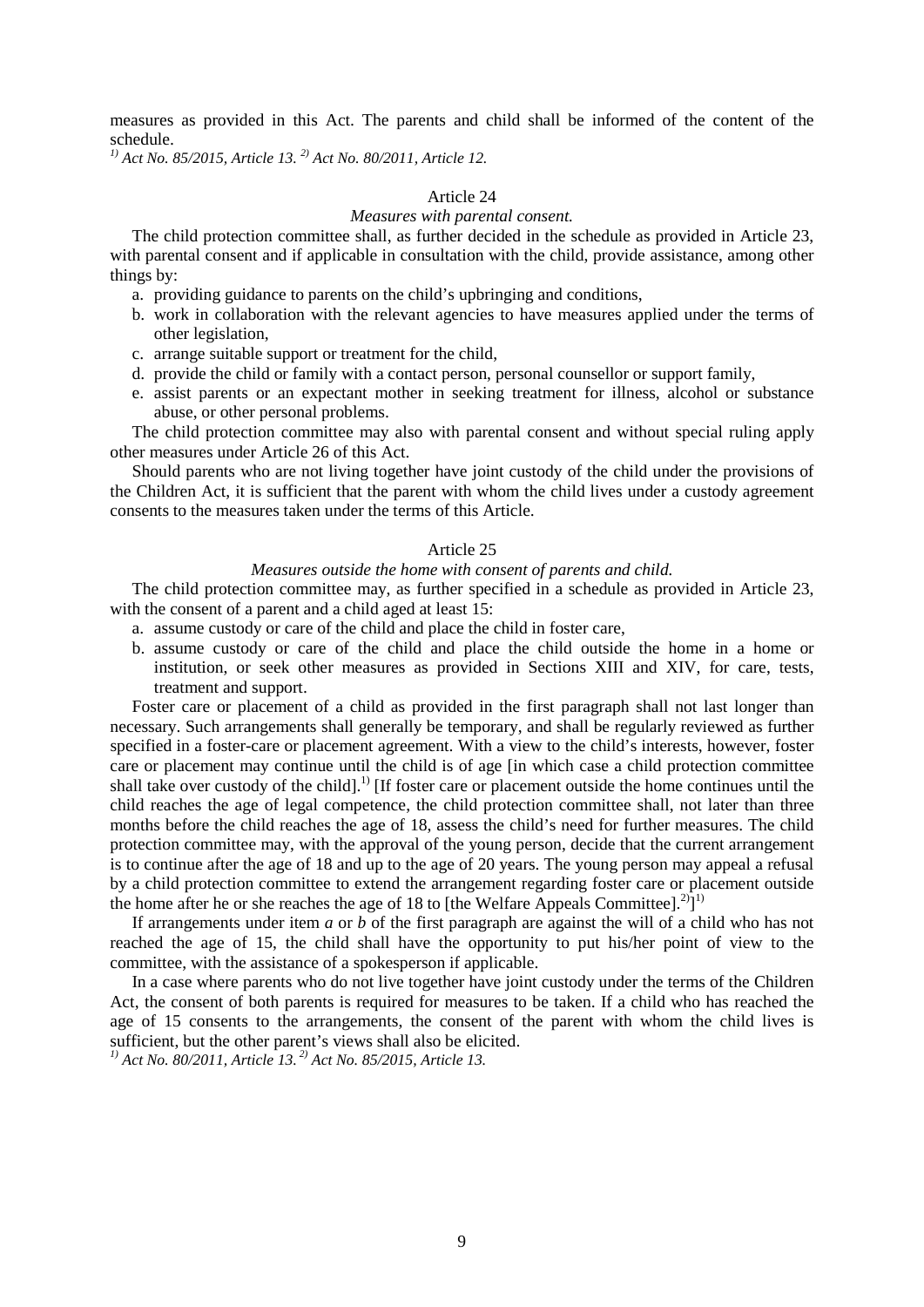measures as provided in this Act. The parents and child shall be informed of the content of the schedule.

*1) Act No. 85/2015, Article 13. 2) Act No. 80/2011, Article 12.*

## Article 24

## *Measures with parental consent.*

The child protection committee shall, as further decided in the schedule as provided in Article 23, with parental consent and if applicable in consultation with the child, provide assistance, among other things by:

- a. providing guidance to parents on the child's upbringing and conditions,
- b. work in collaboration with the relevant agencies to have measures applied under the terms of other legislation,
- c. arrange suitable support or treatment for the child,
- d. provide the child or family with a contact person, personal counsellor or support family,
- e. assist parents or an expectant mother in seeking treatment for illness, alcohol or substance abuse, or other personal problems.

The child protection committee may also with parental consent and without special ruling apply other measures under Article 26 of this Act.

Should parents who are not living together have joint custody of the child under the provisions of the Children Act, it is sufficient that the parent with whom the child lives under a custody agreement consents to the measures taken under the terms of this Article.

## Article 25

## *Measures outside the home with consent of parents and child.*

The child protection committee may, as further specified in a schedule as provided in Article 23, with the consent of a parent and a child aged at least 15:

- a. assume custody or care of the child and place the child in foster care,
- b. assume custody or care of the child and place the child outside the home in a home or institution, or seek other measures as provided in Sections XIII and XIV, for care, tests, treatment and support.

Foster care or placement of a child as provided in the first paragraph shall not last longer than necessary. Such arrangements shall generally be temporary, and shall be regularly reviewed as further specified in a foster-care or placement agreement. With a view to the child's interests, however, foster care or placement may continue until the child is of age [in which case a child protection committee shall take over custody of the child].<sup>1)</sup> [If foster care or placement outside the home continues until the child reaches the age of legal competence, the child protection committee shall, not later than three months before the child reaches the age of 18, assess the child's need for further measures. The child protection committee may, with the approval of the young person, decide that the current arrangement is to continue after the age of 18 and up to the age of 20 years. The young person may appeal a refusal by a child protection committee to extend the arrangement regarding foster care or placement outside the home after he or she reaches the age of 18 to [the Welfare Appeals Committee].<sup>2</sup>]<sup>1)</sup>

If arrangements under item *a* or *b* of the first paragraph are against the will of a child who has not reached the age of 15, the child shall have the opportunity to put his/her point of view to the committee, with the assistance of a spokesperson if applicable.

In a case where parents who do not live together have joint custody under the terms of the Children Act, the consent of both parents is required for measures to be taken. If a child who has reached the age of 15 consents to the arrangements, the consent of the parent with whom the child lives is sufficient, but the other parent's views shall also be elicited.

*1) Act No. 80/2011, Article 13. 2) Act No. 85/2015, Article 13.*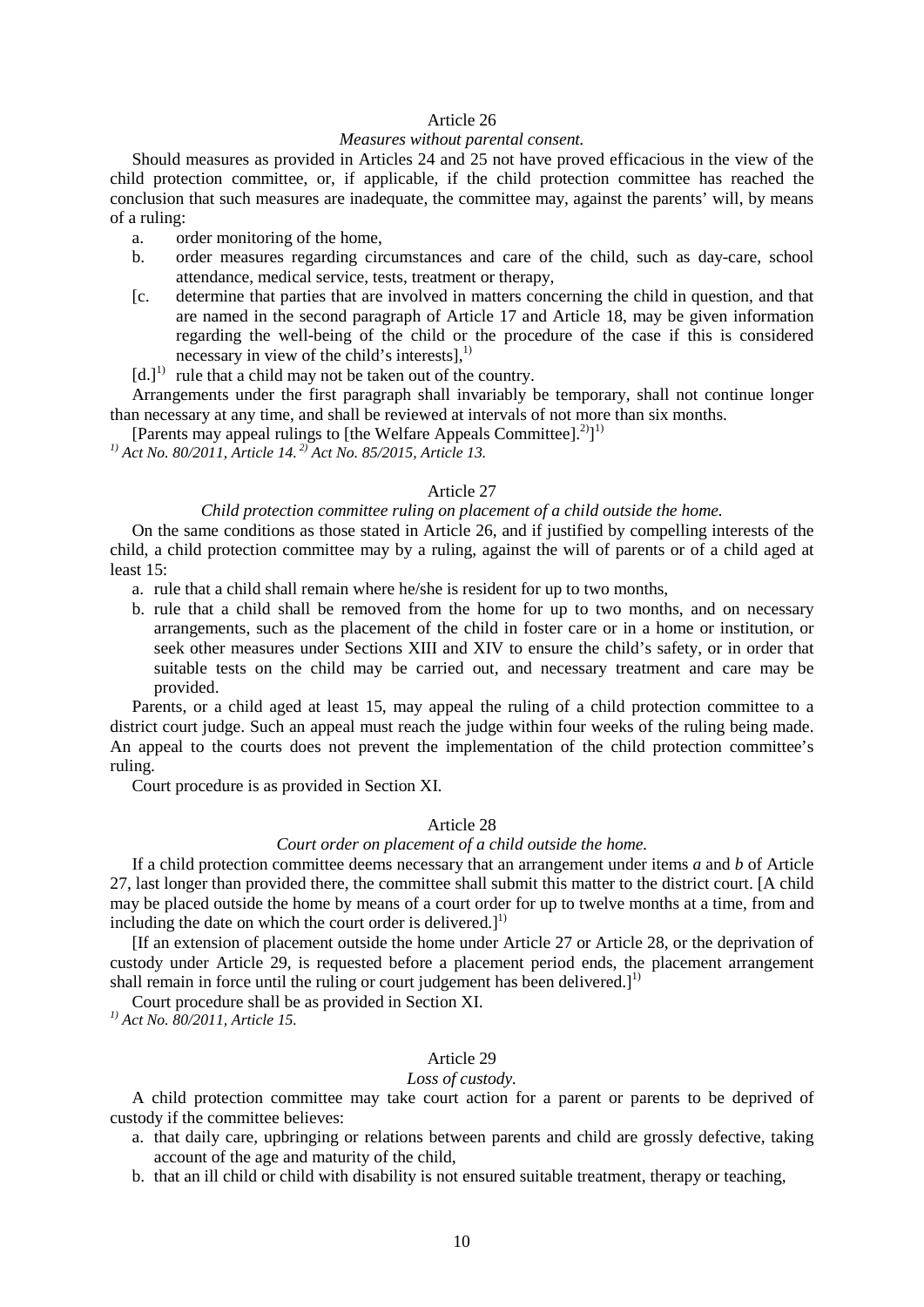## Article 26

## *Measures without parental consent.*

Should measures as provided in Articles 24 and 25 not have proved efficacious in the view of the child protection committee, or, if applicable, if the child protection committee has reached the conclusion that such measures are inadequate, the committee may, against the parents' will, by means of a ruling:

- a. order monitoring of the home,
- b. order measures regarding circumstances and care of the child, such as day-care, school attendance, medical service, tests, treatment or therapy,
- [c. determine that parties that are involved in matters concerning the child in question, and that are named in the second paragraph of Article 17 and Article 18, may be given information regarding the well-being of the child or the procedure of the case if this is considered necessary in view of the child's interests], $^{1)}$
- $[d.1]$ <sup>1)</sup> rule that a child may not be taken out of the country.

Arrangements under the first paragraph shall invariably be temporary, shall not continue longer than necessary at any time, and shall be reviewed at intervals of not more than six months.

[Parents may appeal rulings to [the Welfare Appeals Committee].<sup>2</sup>]<sup>1)</sup>

*1) Act No. 80/2011, Article 14. 2) Act No. 85/2015, Article 13.*

## Article 27

## *Child protection committee ruling on placement of a child outside the home.*

On the same conditions as those stated in Article 26, and if justified by compelling interests of the child, a child protection committee may by a ruling, against the will of parents or of a child aged at least 15:

- a. rule that a child shall remain where he/she is resident for up to two months,
- b. rule that a child shall be removed from the home for up to two months, and on necessary arrangements, such as the placement of the child in foster care or in a home or institution, or seek other measures under Sections XIII and XIV to ensure the child's safety, or in order that suitable tests on the child may be carried out, and necessary treatment and care may be provided.

Parents, or a child aged at least 15, may appeal the ruling of a child protection committee to a district court judge. Such an appeal must reach the judge within four weeks of the ruling being made. An appeal to the courts does not prevent the implementation of the child protection committee's ruling.

Court procedure is as provided in Section XI.

# Article 28

## *Court order on placement of a child outside the home.*

If a child protection committee deems necessary that an arrangement under items *a* and *b* of Article 27, last longer than provided there, the committee shall submit this matter to the district court. [A child may be placed outside the home by means of a court order for up to twelve months at a time, from and including the date on which the court order is delivered.] $<sup>1</sup>$ </sup>

[If an extension of placement outside the home under Article 27 or Article 28, or the deprivation of custody under Article 29, is requested before a placement period ends, the placement arrangement shall remain in force until the ruling or court judgement has been delivered.]<sup>1)</sup>

Court procedure shall be as provided in Section XI.

*1) Act No. 80/2011, Article 15.*

#### Article 29

#### *Loss of custody.*

A child protection committee may take court action for a parent or parents to be deprived of custody if the committee believes:

- a. that daily care, upbringing or relations between parents and child are grossly defective, taking account of the age and maturity of the child,
- b. that an ill child or child with disability is not ensured suitable treatment, therapy or teaching,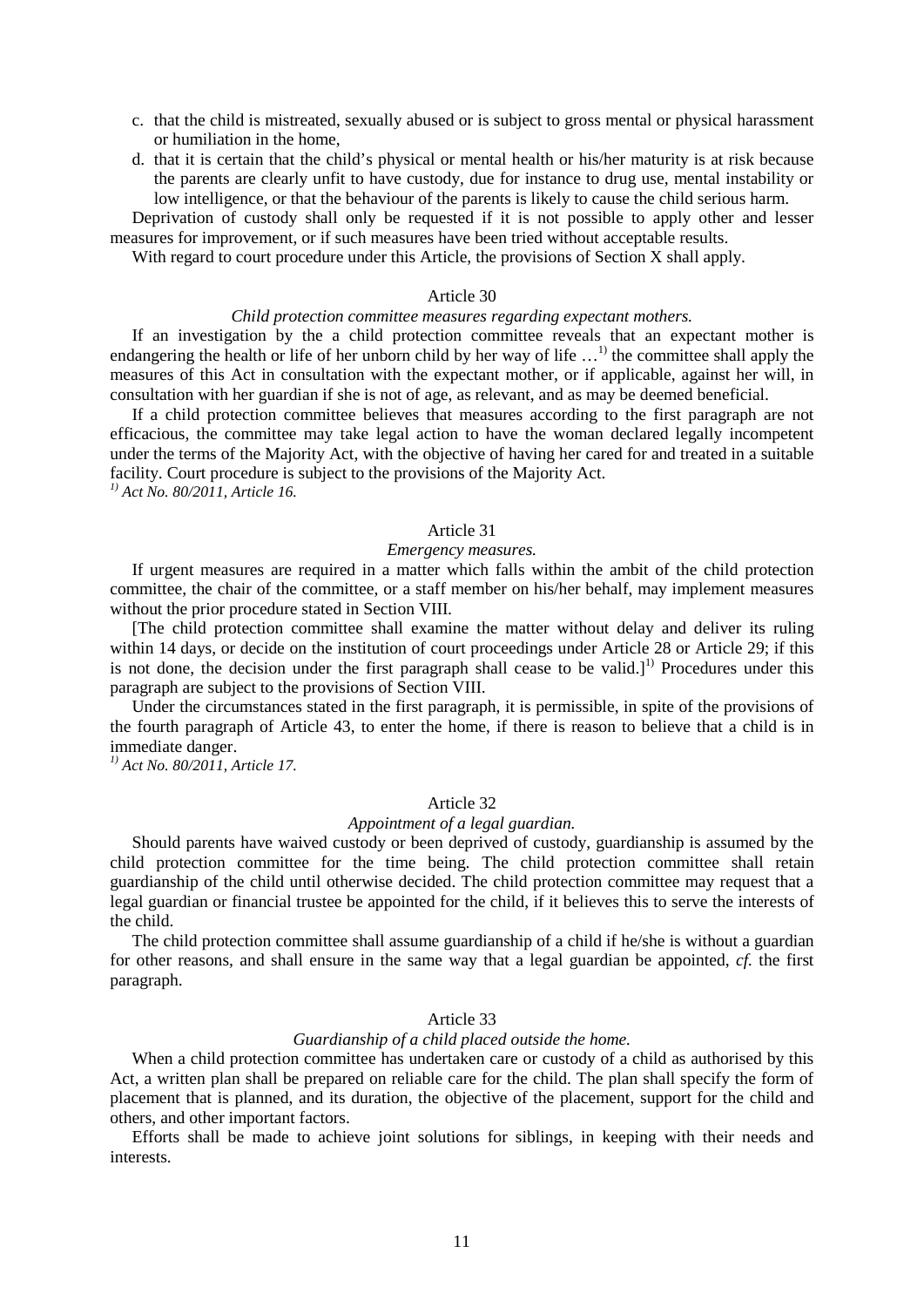- c. that the child is mistreated, sexually abused or is subject to gross mental or physical harassment or humiliation in the home,
- d. that it is certain that the child's physical or mental health or his/her maturity is at risk because the parents are clearly unfit to have custody, due for instance to drug use, mental instability or low intelligence, or that the behaviour of the parents is likely to cause the child serious harm.

Deprivation of custody shall only be requested if it is not possible to apply other and lesser measures for improvement, or if such measures have been tried without acceptable results.

With regard to court procedure under this Article, the provisions of Section X shall apply.

## Article 30

## *Child protection committee measures regarding expectant mothers.*

If an investigation by the a child protection committee reveals that an expectant mother is endangering the health or life of her unborn child by her way of life  $\dots$ <sup>1</sup> the committee shall apply the measures of this Act in consultation with the expectant mother, or if applicable, against her will, in consultation with her guardian if she is not of age, as relevant, and as may be deemed beneficial.

If a child protection committee believes that measures according to the first paragraph are not efficacious, the committee may take legal action to have the woman declared legally incompetent under the terms of the Majority Act, with the objective of having her cared for and treated in a suitable facility. Court procedure is subject to the provisions of the Majority Act. *1) Act No. 80/2011, Article 16.*

#### Article 31

## *Emergency measures.*

If urgent measures are required in a matter which falls within the ambit of the child protection committee, the chair of the committee, or a staff member on his/her behalf, may implement measures without the prior procedure stated in Section VIII.

[The child protection committee shall examine the matter without delay and deliver its ruling within 14 days, or decide on the institution of court proceedings under Article 28 or Article 29; if this is not done, the decision under the first paragraph shall cease to be valid.]<sup>1)</sup> Procedures under this paragraph are subject to the provisions of Section VIII.

Under the circumstances stated in the first paragraph, it is permissible, in spite of the provisions of the fourth paragraph of Article 43, to enter the home, if there is reason to believe that a child is in immediate danger.

*1) Act No. 80/2011, Article 17.*

#### Article 32

## *Appointment of a legal guardian.*

Should parents have waived custody or been deprived of custody, guardianship is assumed by the child protection committee for the time being. The child protection committee shall retain guardianship of the child until otherwise decided. The child protection committee may request that a legal guardian or financial trustee be appointed for the child, if it believes this to serve the interests of the child.

The child protection committee shall assume guardianship of a child if he/she is without a guardian for other reasons, and shall ensure in the same way that a legal guardian be appointed, *cf.* the first paragraph.

#### Article 33

#### *Guardianship of a child placed outside the home.*

When a child protection committee has undertaken care or custody of a child as authorised by this Act, a written plan shall be prepared on reliable care for the child. The plan shall specify the form of placement that is planned, and its duration, the objective of the placement, support for the child and others, and other important factors.

Efforts shall be made to achieve joint solutions for siblings, in keeping with their needs and interests.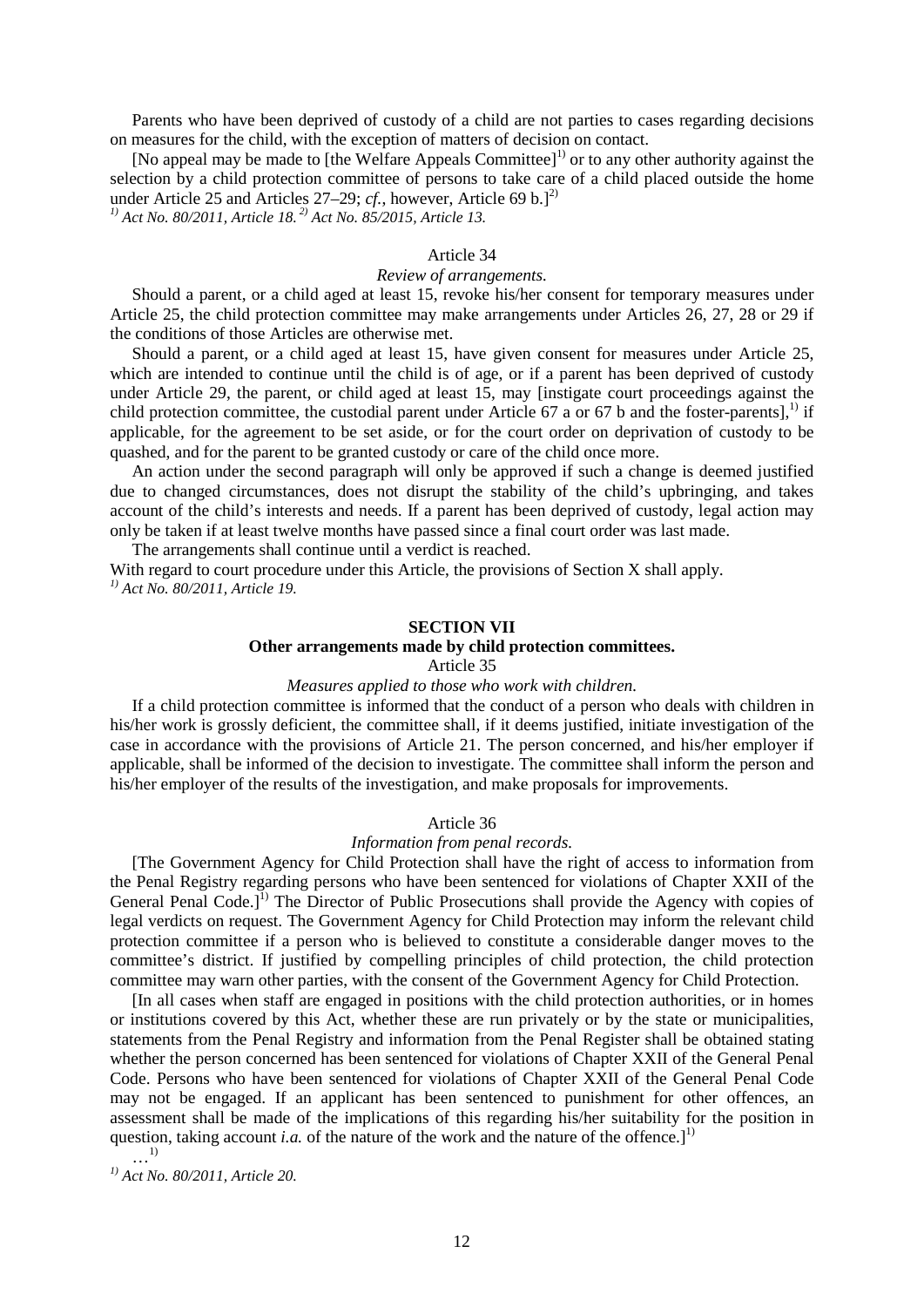Parents who have been deprived of custody of a child are not parties to cases regarding decisions on measures for the child, with the exception of matters of decision on contact.

[No appeal may be made to [the Welfare Appeals Committee]<sup>1)</sup> or to any other authority against the selection by a child protection committee of persons to take care of a child placed outside the home under Article 25 and Articles  $27-29$ ; *cf.*, however, Article 69 b.]<sup>2)</sup>

*1) Act No. 80/2011, Article 18. 2) Act No. 85/2015, Article 13.*

## Article 34

## *Review of arrangements.*

Should a parent, or a child aged at least 15, revoke his/her consent for temporary measures under Article 25, the child protection committee may make arrangements under Articles 26, 27, 28 or 29 if the conditions of those Articles are otherwise met.

Should a parent, or a child aged at least 15, have given consent for measures under Article 25, which are intended to continue until the child is of age, or if a parent has been deprived of custody under Article 29, the parent, or child aged at least 15, may [instigate court proceedings against the child protection committee, the custodial parent under Article 67 a or 67 b and the foster-parents],<sup>1)</sup> if applicable, for the agreement to be set aside, or for the court order on deprivation of custody to be quashed, and for the parent to be granted custody or care of the child once more.

An action under the second paragraph will only be approved if such a change is deemed justified due to changed circumstances, does not disrupt the stability of the child's upbringing, and takes account of the child's interests and needs. If a parent has been deprived of custody, legal action may only be taken if at least twelve months have passed since a final court order was last made.

The arrangements shall continue until a verdict is reached.

With regard to court procedure under this Article, the provisions of Section X shall apply. *1) Act No. 80/2011, Article 19.*

## **SECTION VII**

## **Other arrangements made by child protection committees.**

## Article 35

#### *Measures applied to those who work with children.*

If a child protection committee is informed that the conduct of a person who deals with children in his/her work is grossly deficient, the committee shall, if it deems justified, initiate investigation of the case in accordance with the provisions of Article 21. The person concerned, and his/her employer if applicable, shall be informed of the decision to investigate. The committee shall inform the person and his/her employer of the results of the investigation, and make proposals for improvements.

#### Article 36

#### *Information from penal records.*

[The Government Agency for Child Protection shall have the right of access to information from the Penal Registry regarding persons who have been sentenced for violations of Chapter XXII of the General Penal Code.]<sup>1)</sup> The Director of Public Prosecutions shall provide the Agency with copies of legal verdicts on request. The Government Agency for Child Protection may inform the relevant child protection committee if a person who is believed to constitute a considerable danger moves to the committee's district. If justified by compelling principles of child protection, the child protection committee may warn other parties, with the consent of the Government Agency for Child Protection.

[In all cases when staff are engaged in positions with the child protection authorities, or in homes or institutions covered by this Act, whether these are run privately or by the state or municipalities, statements from the Penal Registry and information from the Penal Register shall be obtained stating whether the person concerned has been sentenced for violations of Chapter XXII of the General Penal Code. Persons who have been sentenced for violations of Chapter XXII of the General Penal Code may not be engaged. If an applicant has been sentenced to punishment for other offences, an assessment shall be made of the implications of this regarding his/her suitability for the position in question, taking account *i.a.* of the nature of the work and the nature of the offence.]<sup>1)</sup>

…1)

*1) Act No. 80/2011, Article 20.*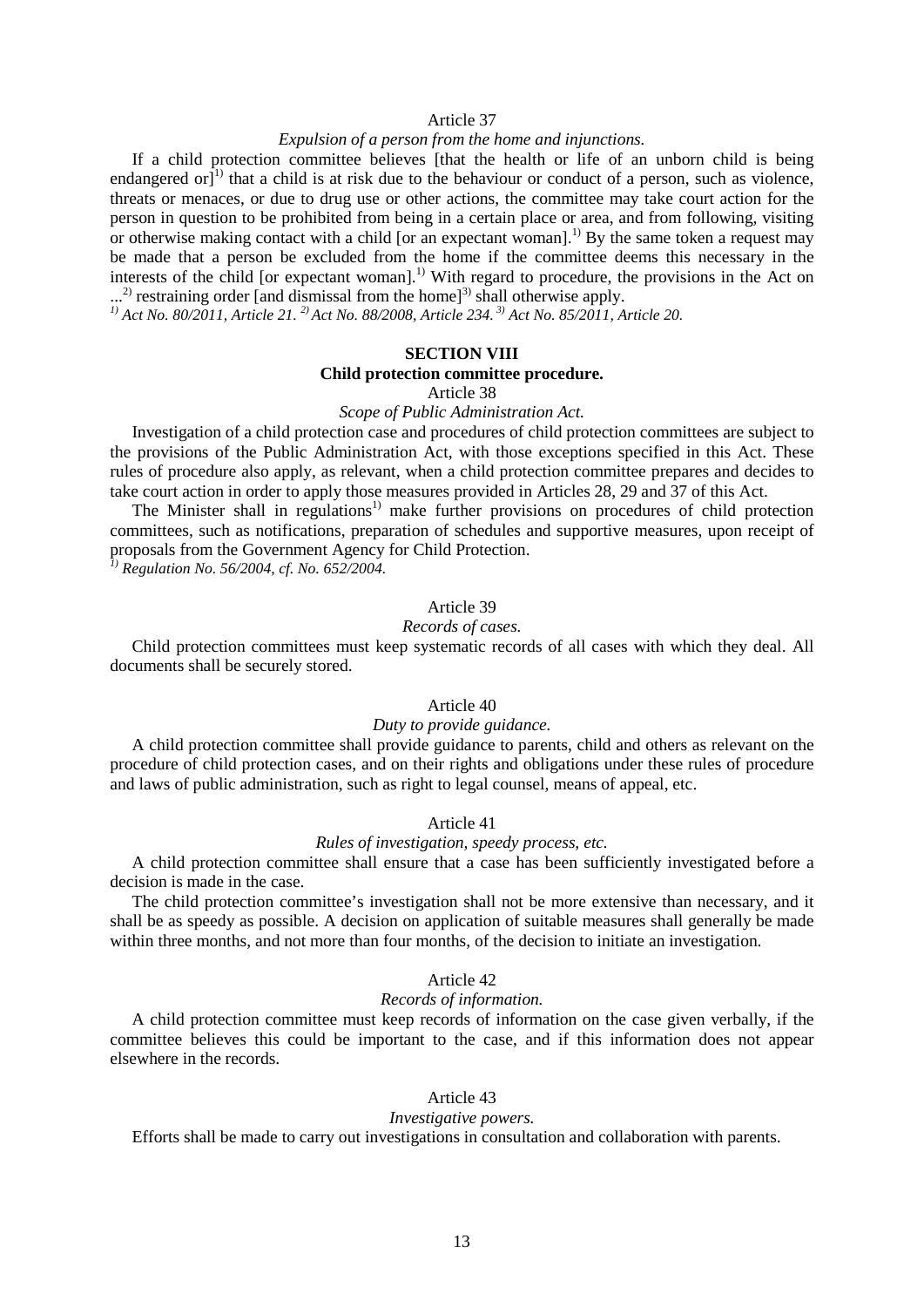## Article 37

#### *Expulsion of a person from the home and injunctions.*

If a child protection committee believes [that the health or life of an unborn child is being endangered or $\vec{J}^{(1)}$  that a child is at risk due to the behaviour or conduct of a person, such as violence, threats or menaces, or due to drug use or other actions, the committee may take court action for the person in question to be prohibited from being in a certain place or area, and from following, visiting or otherwise making contact with a child [or an expectant woman].<sup>1)</sup> By the same token a request may be made that a person be excluded from the home if the committee deems this necessary in the interests of the child [or expectant woman].<sup>1)</sup> With regard to procedure, the provisions in the Act on ...<sup>2)</sup> restraining order [and dismissal from the home]

<sup>1)</sup> Act No. 80/2011, Article 21. <sup>2)</sup> Act No. 88/2008, Article 234. <sup>3)</sup> Act No. 85/2011, Article 20.

## **SECTION VIII**

#### **Child protection committee procedure.**

Article 38

*Scope of Public Administration Act.*

Investigation of a child protection case and procedures of child protection committees are subject to the provisions of the Public Administration Act, with those exceptions specified in this Act. These rules of procedure also apply, as relevant, when a child protection committee prepares and decides to take court action in order to apply those measures provided in Articles 28, 29 and 37 of this Act.

The Minister shall in regulations<sup>1)</sup> make further provisions on procedures of child protection committees, such as notifications, preparation of schedules and supportive measures, upon receipt of proposals from the Government Agency for Child Protection.

*1) Regulation No. 56/2004, cf. No. 652/2004.*

# Article 39

## *Records of cases.*

Child protection committees must keep systematic records of all cases with which they deal. All documents shall be securely stored.

#### Article 40

#### *Duty to provide guidance.*

A child protection committee shall provide guidance to parents, child and others as relevant on the procedure of child protection cases, and on their rights and obligations under these rules of procedure and laws of public administration, such as right to legal counsel, means of appeal, etc.

## Article 41

## *Rules of investigation, speedy process, etc.*

A child protection committee shall ensure that a case has been sufficiently investigated before a decision is made in the case.

The child protection committee's investigation shall not be more extensive than necessary, and it shall be as speedy as possible. A decision on application of suitable measures shall generally be made within three months, and not more than four months, of the decision to initiate an investigation.

#### Article 42

#### *Records of information.*

A child protection committee must keep records of information on the case given verbally, if the committee believes this could be important to the case, and if this information does not appear elsewhere in the records.

## Article 43

#### *Investigative powers.*

Efforts shall be made to carry out investigations in consultation and collaboration with parents.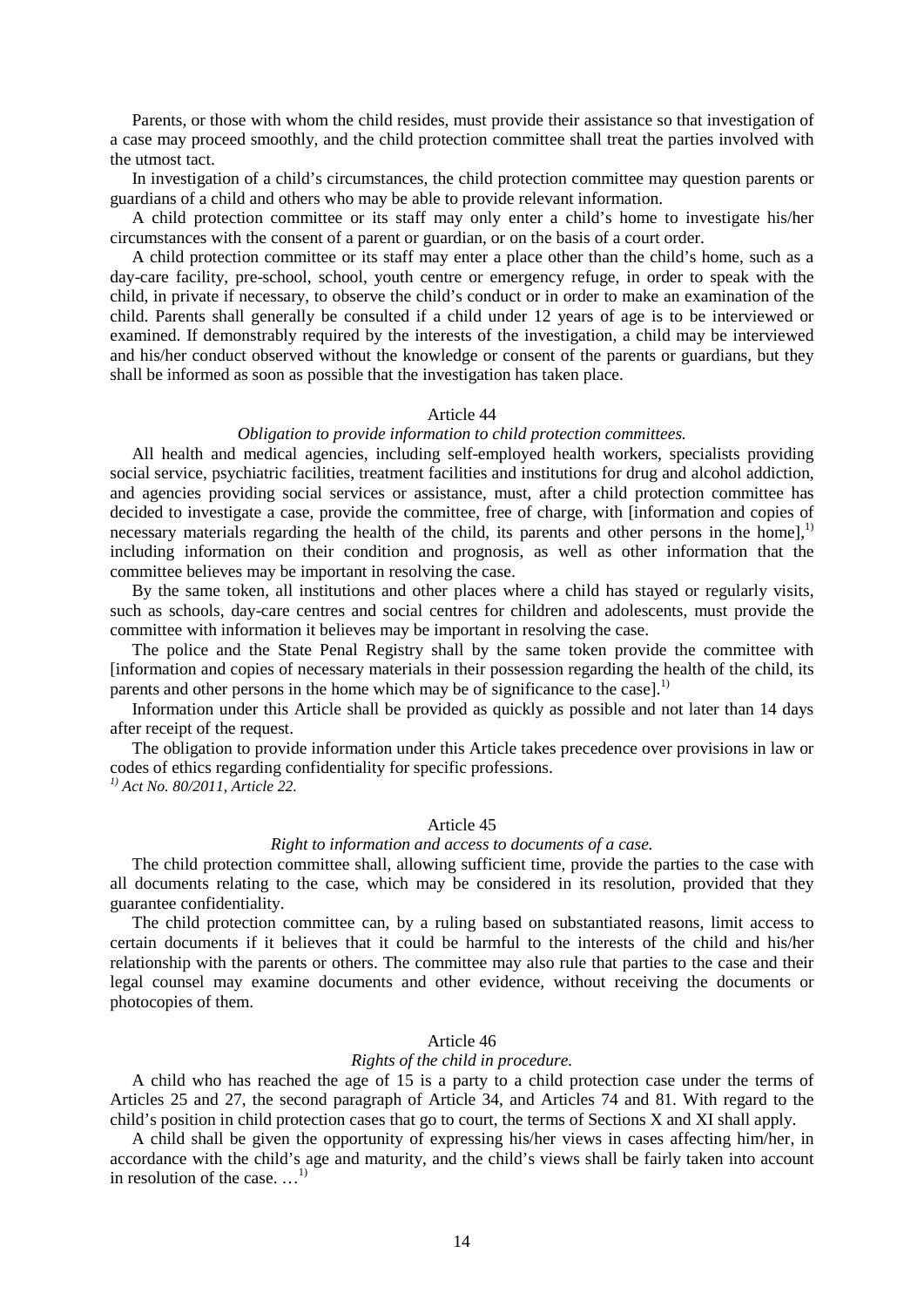Parents, or those with whom the child resides, must provide their assistance so that investigation of a case may proceed smoothly, and the child protection committee shall treat the parties involved with the utmost tact.

In investigation of a child's circumstances, the child protection committee may question parents or guardians of a child and others who may be able to provide relevant information.

A child protection committee or its staff may only enter a child's home to investigate his/her circumstances with the consent of a parent or guardian, or on the basis of a court order.

A child protection committee or its staff may enter a place other than the child's home, such as a day-care facility, pre-school, school, youth centre or emergency refuge, in order to speak with the child, in private if necessary, to observe the child's conduct or in order to make an examination of the child. Parents shall generally be consulted if a child under 12 years of age is to be interviewed or examined. If demonstrably required by the interests of the investigation, a child may be interviewed and his/her conduct observed without the knowledge or consent of the parents or guardians, but they shall be informed as soon as possible that the investigation has taken place.

## Article 44

## *Obligation to provide information to child protection committees.*

All health and medical agencies, including self-employed health workers, specialists providing social service, psychiatric facilities, treatment facilities and institutions for drug and alcohol addiction, and agencies providing social services or assistance, must, after a child protection committee has decided to investigate a case, provide the committee, free of charge, with [information and copies of necessary materials regarding the health of the child, its parents and other persons in the home],<sup>1)</sup> including information on their condition and prognosis, as well as other information that the committee believes may be important in resolving the case.

By the same token, all institutions and other places where a child has stayed or regularly visits, such as schools, day-care centres and social centres for children and adolescents, must provide the committee with information it believes may be important in resolving the case.

The police and the State Penal Registry shall by the same token provide the committee with [information and copies of necessary materials in their possession regarding the health of the child, its parents and other persons in the home which may be of significance to the case].<sup>1)</sup>

Information under this Article shall be provided as quickly as possible and not later than 14 days after receipt of the request.

The obligation to provide information under this Article takes precedence over provisions in law or codes of ethics regarding confidentiality for specific professions. *1) Act No. 80/2011, Article 22.*

## Article 45

## *Right to information and access to documents of a case.*

The child protection committee shall, allowing sufficient time, provide the parties to the case with all documents relating to the case, which may be considered in its resolution, provided that they guarantee confidentiality.

The child protection committee can, by a ruling based on substantiated reasons, limit access to certain documents if it believes that it could be harmful to the interests of the child and his/her relationship with the parents or others. The committee may also rule that parties to the case and their legal counsel may examine documents and other evidence, without receiving the documents or photocopies of them.

## Article 46

## *Rights of the child in procedure.*

A child who has reached the age of 15 is a party to a child protection case under the terms of Articles 25 and 27, the second paragraph of Article 34, and Articles 74 and 81. With regard to the child's position in child protection cases that go to court, the terms of Sections X and XI shall apply.

A child shall be given the opportunity of expressing his/her views in cases affecting him/her, in accordance with the child's age and maturity, and the child's views shall be fairly taken into account in resolution of the case.  $\dots$ <sup>1)</sup>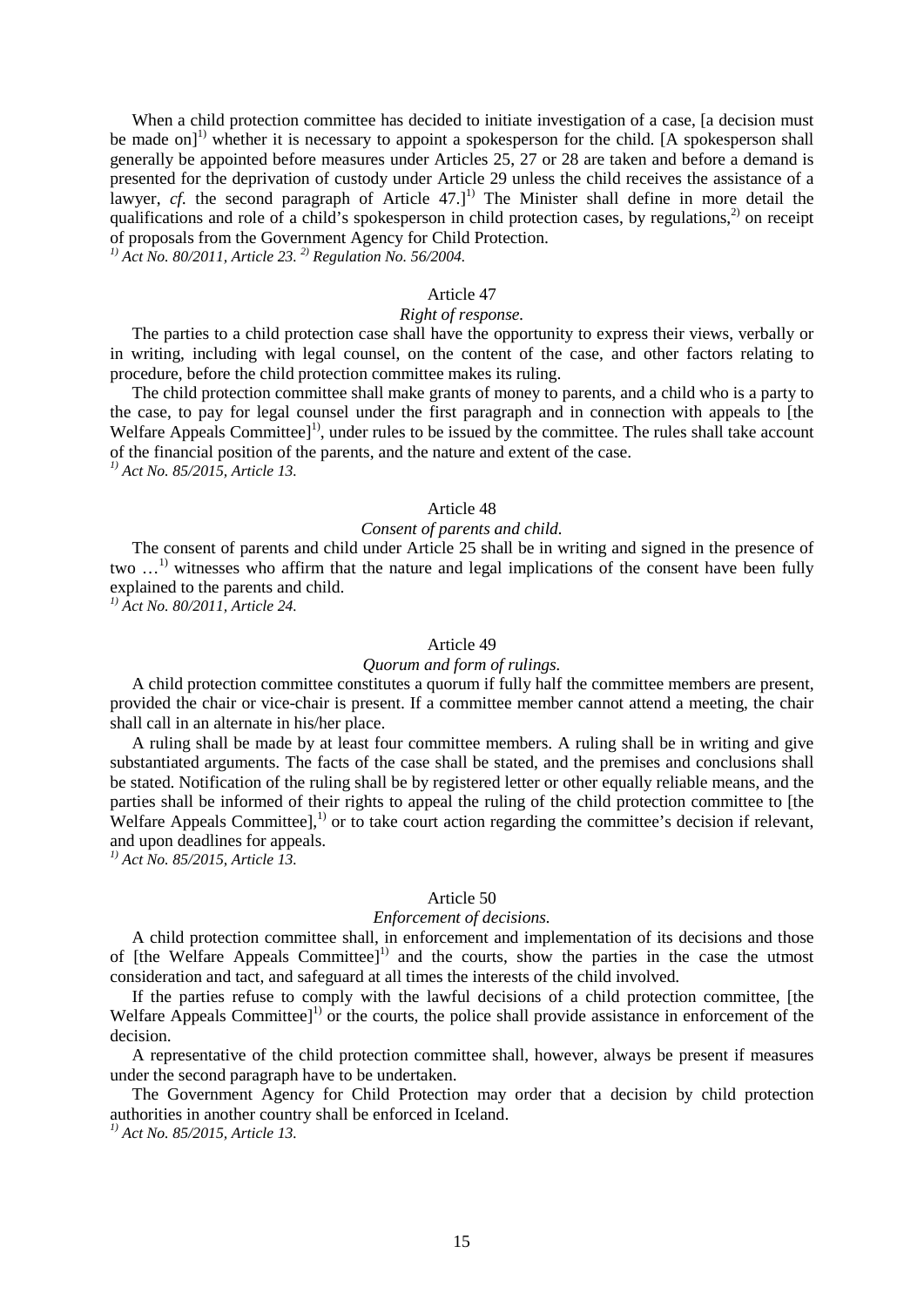When a child protection committee has decided to initiate investigation of a case, [a decision must be made on]<sup>1)</sup> whether it is necessary to appoint a spokesperson for the child. [A spokesperson shall generally be appointed before measures under Articles 25, 27 or 28 are taken and before a demand is presented for the deprivation of custody under Article 29 unless the child receives the assistance of a lawyer,  $cf.$  the second paragraph of Article 47.<sup> $]$ 1</sup> The Minister shall define in more detail the qualifications and role of a child's spokesperson in child protection cases, by regulations, $^{2}$  on receipt of proposals from the Government Agency for Child Protection.

*1) Act No. 80/2011, Article 23. 2) Regulation No. 56/2004.*

## Article 47

## *Right of response.*

The parties to a child protection case shall have the opportunity to express their views, verbally or in writing, including with legal counsel, on the content of the case, and other factors relating to procedure, before the child protection committee makes its ruling.

The child protection committee shall make grants of money to parents, and a child who is a party to the case, to pay for legal counsel under the first paragraph and in connection with appeals to [the Welfare Appeals Committee $1^{\prime}$ , under rules to be issued by the committee. The rules shall take account of the financial position of the parents, and the nature and extent of the case. *1) Act No. 85/2015, Article 13.*

#### Article 48

#### *Consent of parents and child.*

The consent of parents and child under Article 25 shall be in writing and signed in the presence of two ...<sup>1)</sup> witnesses who affirm that the nature and legal implications of the consent have been fully explained to the parents and child.

*1) Act No. 80/2011, Article 24.*

#### Article 49

#### *Quorum and form of rulings.*

A child protection committee constitutes a quorum if fully half the committee members are present, provided the chair or vice-chair is present. If a committee member cannot attend a meeting, the chair shall call in an alternate in his/her place.

A ruling shall be made by at least four committee members. A ruling shall be in writing and give substantiated arguments. The facts of the case shall be stated, and the premises and conclusions shall be stated. Notification of the ruling shall be by registered letter or other equally reliable means, and the parties shall be informed of their rights to appeal the ruling of the child protection committee to [the Welfare Appeals Committee],<sup>1)</sup> or to take court action regarding the committee's decision if relevant, and upon deadlines for appeals.

*1) Act No. 85/2015, Article 13.*

#### Article 50

#### *Enforcement of decisions.*

A child protection committee shall, in enforcement and implementation of its decisions and those of [the Welfare Appeals Committee]<sup>1)</sup> and the courts, show the parties in the case the utmost consideration and tact, and safeguard at all times the interests of the child involved.

If the parties refuse to comply with the lawful decisions of a child protection committee, [the Welfare Appeals Committee]<sup>1)</sup> or the courts, the police shall provide assistance in enforcement of the decision.

A representative of the child protection committee shall, however, always be present if measures under the second paragraph have to be undertaken.

The Government Agency for Child Protection may order that a decision by child protection authorities in another country shall be enforced in Iceland.

*1) Act No. 85/2015, Article 13.*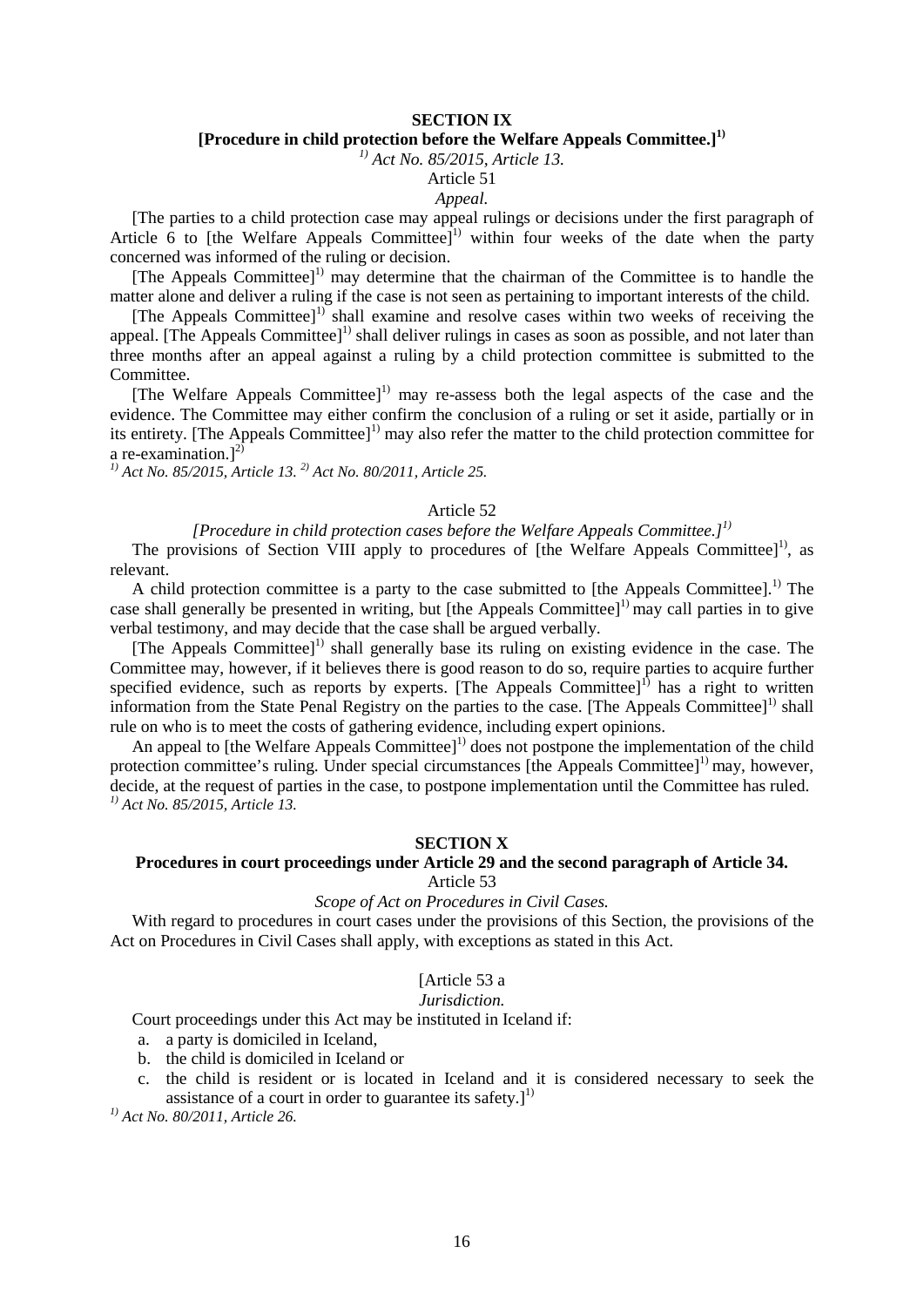# **SECTION IX**

# **[Procedure in child protection before the Welfare Appeals Committee.] 1)**

*1) Act No. 85/2015, Article 13.*

# Article 51

# *Appeal.*

[The parties to a child protection case may appeal rulings or decisions under the first paragraph of Article 6 to [the Welfare Appeals Committee]<sup>1)</sup> within four weeks of the date when the party concerned was informed of the ruling or decision.

[The Appeals Committee]<sup>1)</sup> may determine that the chairman of the Committee is to handle the matter alone and deliver a ruling if the case is not seen as pertaining to important interests of the child.

 $[The$  Appeals Committee]<sup>1)</sup> shall examine and resolve cases within two weeks of receiving the appeal. [The Appeals Committee]<sup>1)</sup> shall deliver rulings in cases as soon as possible, and not later than three months after an appeal against a ruling by a child protection committee is submitted to the Committee.

[The Welfare Appeals Committee]<sup>1)</sup> may re-assess both the legal aspects of the case and the evidence. The Committee may either confirm the conclusion of a ruling or set it aside, partially or in its entirety. [The Appeals Committee]<sup>1)</sup> may also refer the matter to the child protection committee for a re-examination.] $^{2)}$ 

*1) Act No. 85/2015, Article 13. 2) Act No. 80/2011, Article 25.*

#### Article 52

# *[Procedure in child protection cases before the Welfare Appeals Committee.] 1)*

The provisions of Section VIII apply to procedures of [the Welfare Appeals Committee]<sup>1)</sup>, as relevant.

A child protection committee is a party to the case submitted to [the Appeals Committee].<sup>1)</sup> The case shall generally be presented in writing, but [the Appeals Committee]<sup>1)</sup> may call parties in to give verbal testimony, and may decide that the case shall be argued verbally.

 $[The Appeals Committee]$ <sup>1)</sup> shall generally base its ruling on existing evidence in the case. The Committee may, however, if it believes there is good reason to do so, require parties to acquire further specified evidence, such as reports by experts. [The Appeals Committee] $<sup>1</sup>$  has a right to written</sup> information from the State Penal Registry on the parties to the case. [The Appeals Committee]<sup>1)</sup> shall rule on who is to meet the costs of gathering evidence, including expert opinions.

An appeal to [the Welfare Appeals Committee]<sup>1)</sup> does not postpone the implementation of the child protection committee's ruling. Under special circumstances [the Appeals Committee] $\mu$ ] may, however, decide, at the request of parties in the case, to postpone implementation until the Committee has ruled. *1) Act No. 85/2015, Article 13.*

## **SECTION X**

# **Procedures in court proceedings under Article 29 and the second paragraph of Article 34.**

Article 53

## *Scope of Act on Procedures in Civil Cases.*

With regard to procedures in court cases under the provisions of this Section, the provisions of the Act on Procedures in Civil Cases shall apply, with exceptions as stated in this Act.

# [Article 53 a

## *Jurisdiction.*

Court proceedings under this Act may be instituted in Iceland if:

- a. a party is domiciled in Iceland,
- b. the child is domiciled in Iceland or
- c. the child is resident or is located in Iceland and it is considered necessary to seek the assistance of a court in order to guarantee its safety.] $<sup>1</sup>$ </sup>

*1) Act No. 80/2011, Article 26.*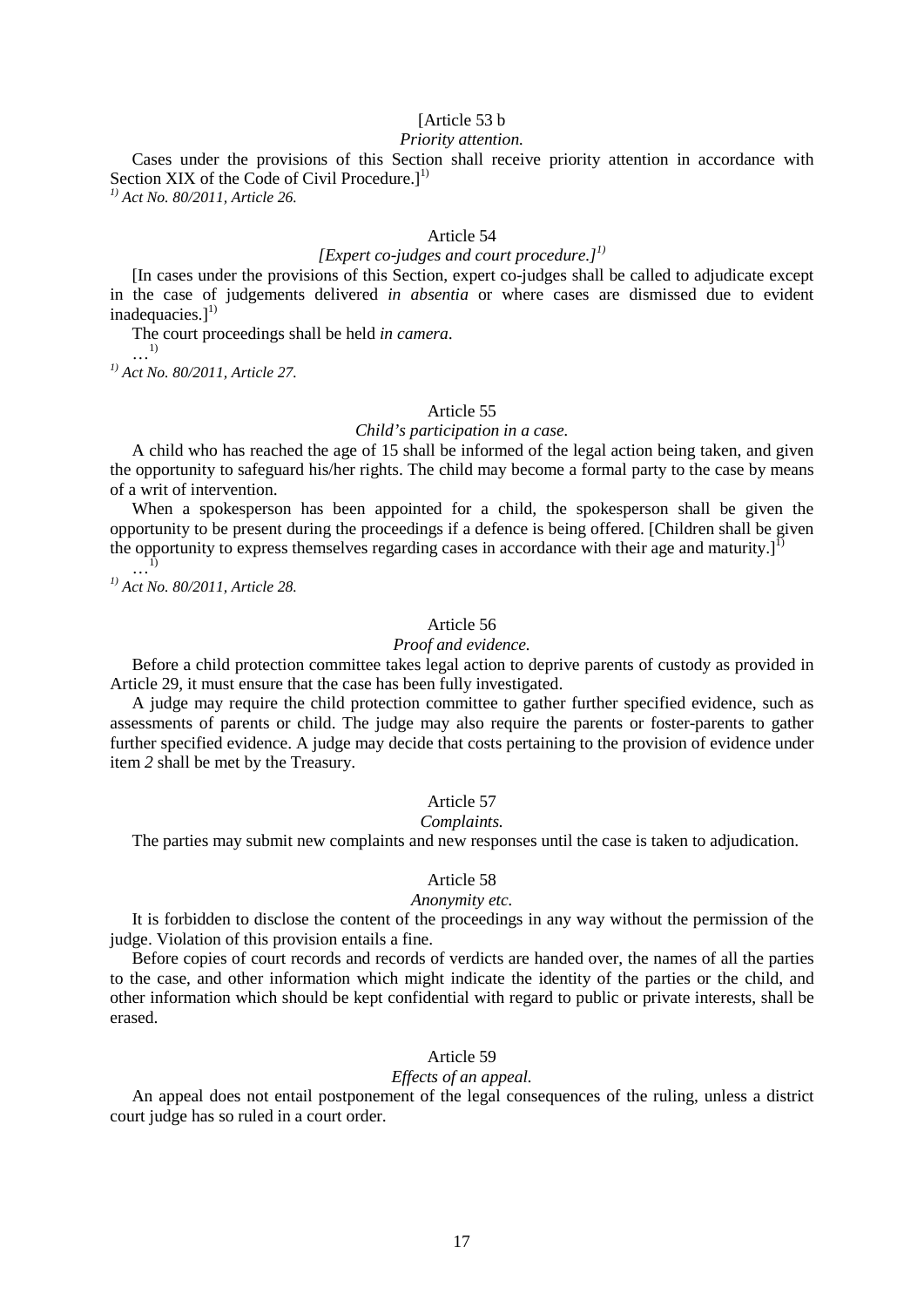## [Article 53 b]

## *Priority attention.*

Cases under the provisions of this Section shall receive priority attention in accordance with Section XIX of the Code of Civil Procedure.]<sup>1)</sup>

*1) Act No. 80/2011, Article 26.*

## Article 54

# *[Expert co-judges and court procedure.] 1)*

[In cases under the provisions of this Section, expert co-judges shall be called to adjudicate except in the case of judgements delivered *in absentia* or where cases are dismissed due to evident inadequacies.]<sup>1)</sup>

The court proceedings shall be held *in camera*.

…1) *1) Act No. 80/2011, Article 27.*

## Article 55

#### *Child's participation in a case.*

A child who has reached the age of 15 shall be informed of the legal action being taken, and given the opportunity to safeguard his/her rights. The child may become a formal party to the case by means of a writ of intervention.

When a spokesperson has been appointed for a child, the spokesperson shall be given the opportunity to be present during the proceedings if a defence is being offered. [Children shall be given the opportunity to express themselves regarding cases in accordance with their age and maturity. $J<sup>1</sup>$  $\ldots$ <sup>[1]</sup>

*1) Act No. 80/2011, Article 28.*

## Article 56

#### *Proof and evidence.*

Before a child protection committee takes legal action to deprive parents of custody as provided in Article 29, it must ensure that the case has been fully investigated.

A judge may require the child protection committee to gather further specified evidence, such as assessments of parents or child. The judge may also require the parents or foster-parents to gather further specified evidence. A judge may decide that costs pertaining to the provision of evidence under item *2* shall be met by the Treasury.

#### Article 57

#### *Complaints.*

The parties may submit new complaints and new responses until the case is taken to adjudication.

## Article 58

## *Anonymity etc.*

It is forbidden to disclose the content of the proceedings in any way without the permission of the judge. Violation of this provision entails a fine.

Before copies of court records and records of verdicts are handed over, the names of all the parties to the case, and other information which might indicate the identity of the parties or the child, and other information which should be kept confidential with regard to public or private interests, shall be erased.

#### Article 59

## *Effects of an appeal.*

An appeal does not entail postponement of the legal consequences of the ruling, unless a district court judge has so ruled in a court order.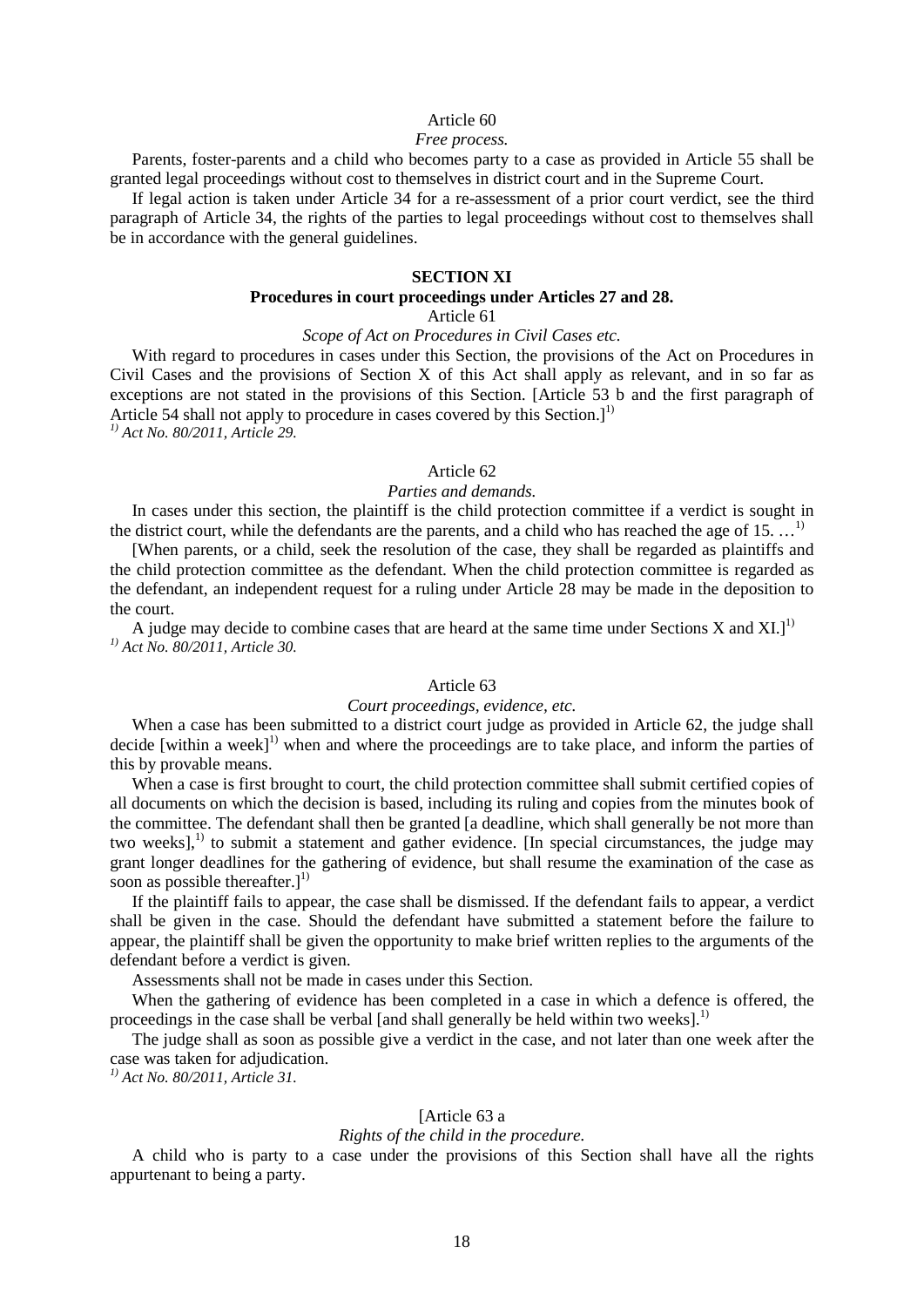#### Article 60

#### *Free process.*

Parents, foster-parents and a child who becomes party to a case as provided in Article 55 shall be granted legal proceedings without cost to themselves in district court and in the Supreme Court.

If legal action is taken under Article 34 for a re-assessment of a prior court verdict, see the third paragraph of Article 34, the rights of the parties to legal proceedings without cost to themselves shall be in accordance with the general guidelines.

#### **SECTION XI**

## **Procedures in court proceedings under Articles 27 and 28.**

# Article 61

## *Scope of Act on Procedures in Civil Cases etc.*

With regard to procedures in cases under this Section, the provisions of the Act on Procedures in Civil Cases and the provisions of Section X of this Act shall apply as relevant, and in so far as exceptions are not stated in the provisions of this Section. [Article 53 b and the first paragraph of Article 54 shall not apply to procedure in cases covered by this Section.]<sup>1)</sup>

*1) Act No. 80/2011, Article 29.*

## Article 62

## *Parties and demands.*

In cases under this section, the plaintiff is the child protection committee if a verdict is sought in the district court, while the defendants are the parents, and a child who has reached the age of 15.  $\dots$ <sup>1)</sup>

[When parents, or a child, seek the resolution of the case, they shall be regarded as plaintiffs and the child protection committee as the defendant. When the child protection committee is regarded as the defendant, an independent request for a ruling under Article 28 may be made in the deposition to the court.

A judge may decide to combine cases that are heard at the same time under Sections X and XI.]<sup>1)</sup> *1) Act No. 80/2011, Article 30.*

## Article 63

#### *Court proceedings, evidence, etc.*

When a case has been submitted to a district court judge as provided in Article 62, the judge shall decide [within a week]<sup>1)</sup> when and where the proceedings are to take place, and inform the parties of this by provable means.

When a case is first brought to court, the child protection committee shall submit certified copies of all documents on which the decision is based, including its ruling and copies from the minutes book of the committee. The defendant shall then be granted [a deadline, which shall generally be not more than two weeks], $^{1)}$  to submit a statement and gather evidence. [In special circumstances, the judge may grant longer deadlines for the gathering of evidence, but shall resume the examination of the case as soon as possible thereafter.] $^{1)}$ 

If the plaintiff fails to appear, the case shall be dismissed. If the defendant fails to appear, a verdict shall be given in the case. Should the defendant have submitted a statement before the failure to appear, the plaintiff shall be given the opportunity to make brief written replies to the arguments of the defendant before a verdict is given.

Assessments shall not be made in cases under this Section.

When the gathering of evidence has been completed in a case in which a defence is offered, the proceedings in the case shall be verbal [and shall generally be held within two weeks].<sup>1)</sup>

The judge shall as soon as possible give a verdict in the case, and not later than one week after the case was taken for adjudication.

*1) Act No. 80/2011, Article 31.*

## [Article 63 a

#### *Rights of the child in the procedure.*

A child who is party to a case under the provisions of this Section shall have all the rights appurtenant to being a party.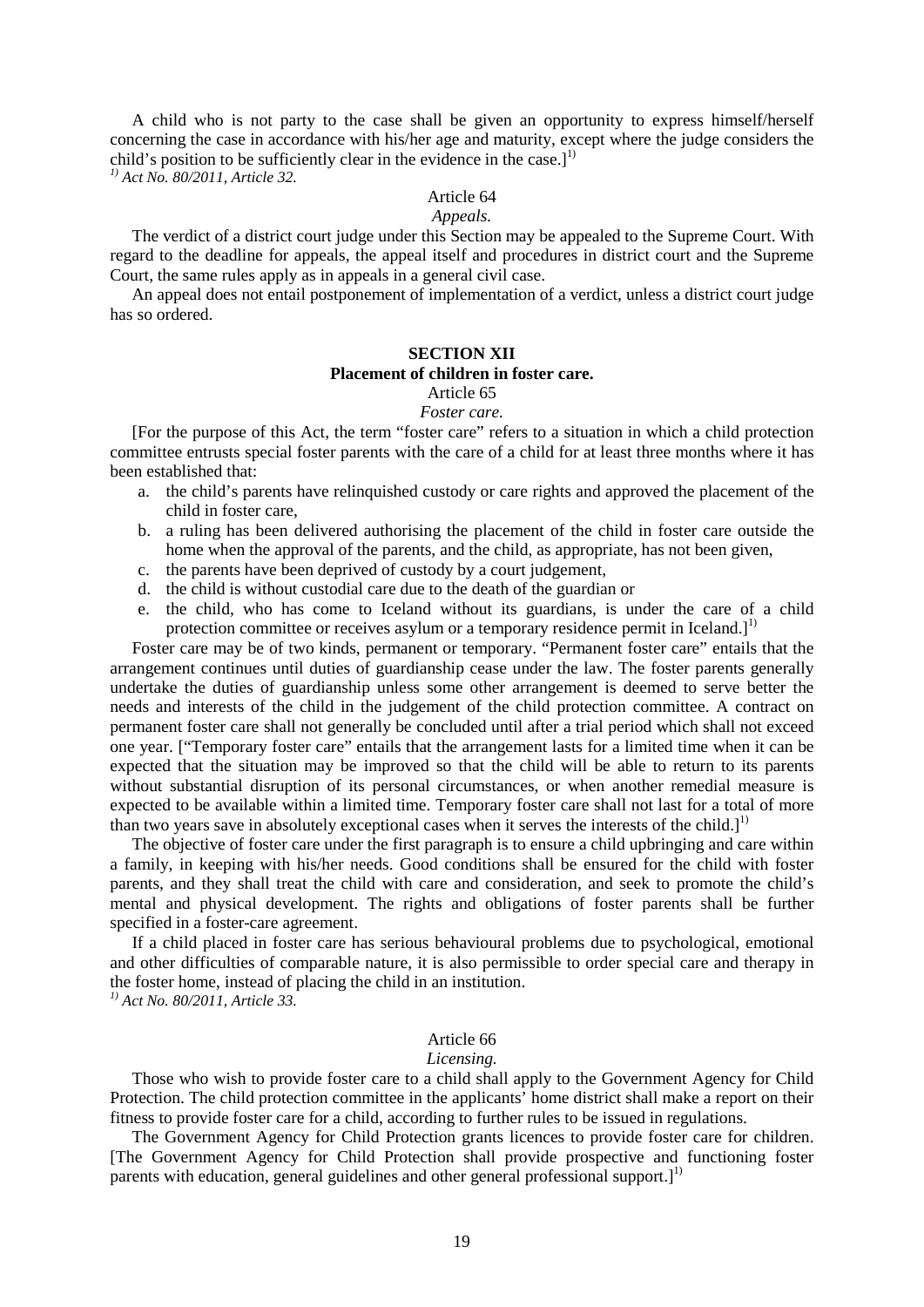A child who is not party to the case shall be given an opportunity to express himself/herself concerning the case in accordance with his/her age and maturity, except where the judge considers the child's position to be sufficiently clear in the evidence in the case.]<sup>1)</sup>

*1) Act No. 80/2011, Article 32.*

## Article 64

## *Appeals.*

The verdict of a district court judge under this Section may be appealed to the Supreme Court. With regard to the deadline for appeals, the appeal itself and procedures in district court and the Supreme Court, the same rules apply as in appeals in a general civil case.

An appeal does not entail postponement of implementation of a verdict, unless a district court judge has so ordered.

# **SECTION XII**

# **Placement of children in foster care.**

#### Article 65 *Foster care.*

[For the purpose of this Act, the term "foster care" refers to a situation in which a child protection committee entrusts special foster parents with the care of a child for at least three months where it has been established that:

- a. the child's parents have relinquished custody or care rights and approved the placement of the child in foster care,
- b. a ruling has been delivered authorising the placement of the child in foster care outside the home when the approval of the parents, and the child, as appropriate, has not been given,
- c. the parents have been deprived of custody by a court judgement,
- d. the child is without custodial care due to the death of the guardian or
- e. the child, who has come to Iceland without its guardians, is under the care of a child protection committee or receives asylum or a temporary residence permit in Iceland.]<sup>1)</sup>

Foster care may be of two kinds, permanent or temporary. "Permanent foster care" entails that the arrangement continues until duties of guardianship cease under the law. The foster parents generally undertake the duties of guardianship unless some other arrangement is deemed to serve better the needs and interests of the child in the judgement of the child protection committee. A contract on permanent foster care shall not generally be concluded until after a trial period which shall not exceed one year. ["Temporary foster care" entails that the arrangement lasts for a limited time when it can be expected that the situation may be improved so that the child will be able to return to its parents without substantial disruption of its personal circumstances, or when another remedial measure is expected to be available within a limited time. Temporary foster care shall not last for a total of more than two years save in absolutely exceptional cases when it serves the interests of the child.]<sup>1)</sup>

The objective of foster care under the first paragraph is to ensure a child upbringing and care within a family, in keeping with his/her needs. Good conditions shall be ensured for the child with foster parents, and they shall treat the child with care and consideration, and seek to promote the child's mental and physical development. The rights and obligations of foster parents shall be further specified in a foster-care agreement.

If a child placed in foster care has serious behavioural problems due to psychological, emotional and other difficulties of comparable nature, it is also permissible to order special care and therapy in the foster home, instead of placing the child in an institution.

*1) Act No. 80/2011, Article 33.*

#### Article 66

#### *Licensing.*

Those who wish to provide foster care to a child shall apply to the Government Agency for Child Protection. The child protection committee in the applicants' home district shall make a report on their fitness to provide foster care for a child, according to further rules to be issued in regulations.

The Government Agency for Child Protection grants licences to provide foster care for children. [The Government Agency for Child Protection shall provide prospective and functioning foster parents with education, general guidelines and other general professional support.]<sup>1)</sup>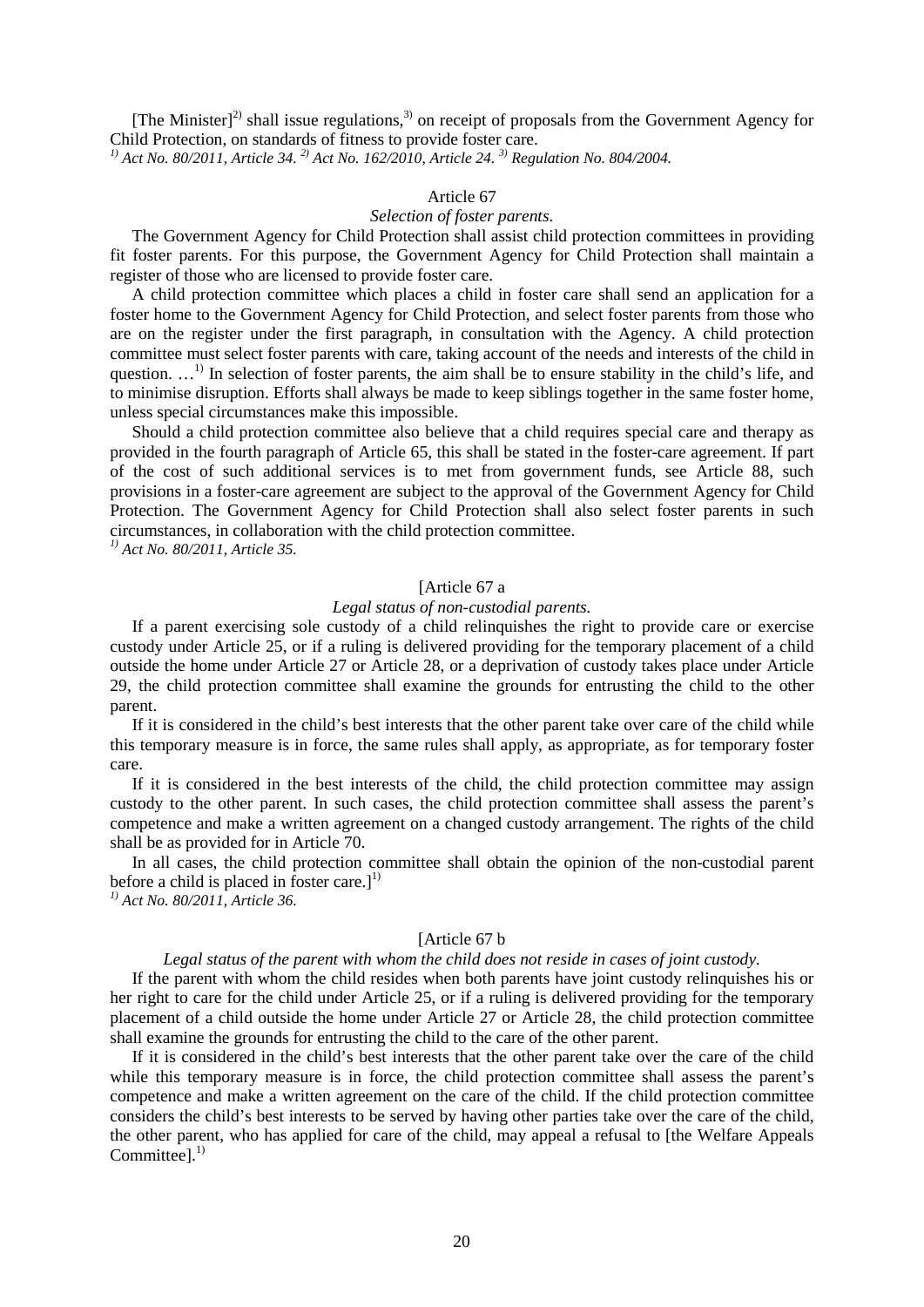[The Minister]<sup>2)</sup> shall issue regulations,<sup>3)</sup> on receipt of proposals from the Government Agency for Child Protection, on standards of fitness to provide foster care.

*1) Act No. 80/2011, Article 34. 2) Act No. 162/2010, Article 24. 3) Regulation No. 804/2004.*

## Article 67

# *Selection of foster parents.*

The Government Agency for Child Protection shall assist child protection committees in providing fit foster parents. For this purpose, the Government Agency for Child Protection shall maintain a register of those who are licensed to provide foster care.

A child protection committee which places a child in foster care shall send an application for a foster home to the Government Agency for Child Protection, and select foster parents from those who are on the register under the first paragraph, in consultation with the Agency. A child protection committee must select foster parents with care, taking account of the needs and interests of the child in question.  $\ldots$ <sup>1)</sup> In selection of foster parents, the aim shall be to ensure stability in the child's life, and to minimise disruption. Efforts shall always be made to keep siblings together in the same foster home, unless special circumstances make this impossible.

Should a child protection committee also believe that a child requires special care and therapy as provided in the fourth paragraph of Article 65, this shall be stated in the foster-care agreement. If part of the cost of such additional services is to met from government funds, see Article 88, such provisions in a foster-care agreement are subject to the approval of the Government Agency for Child Protection. The Government Agency for Child Protection shall also select foster parents in such circumstances, in collaboration with the child protection committee.

*1) Act No. 80/2011, Article 35.*

## [Article 67 a

## *Legal status of non-custodial parents.*

If a parent exercising sole custody of a child relinquishes the right to provide care or exercise custody under Article 25, or if a ruling is delivered providing for the temporary placement of a child outside the home under Article 27 or Article 28, or a deprivation of custody takes place under Article 29, the child protection committee shall examine the grounds for entrusting the child to the other parent.

If it is considered in the child's best interests that the other parent take over care of the child while this temporary measure is in force, the same rules shall apply, as appropriate, as for temporary foster care.

If it is considered in the best interests of the child, the child protection committee may assign custody to the other parent. In such cases, the child protection committee shall assess the parent's competence and make a written agreement on a changed custody arrangement. The rights of the child shall be as provided for in Article 70.

In all cases, the child protection committee shall obtain the opinion of the non-custodial parent before a child is placed in foster care.]<sup>1)</sup>

*1) Act No. 80/2011, Article 36.* 

#### [Article 67 b

## *Legal status of the parent with whom the child does not reside in cases of joint custody.*

If the parent with whom the child resides when both parents have joint custody relinquishes his or her right to care for the child under Article 25, or if a ruling is delivered providing for the temporary placement of a child outside the home under Article 27 or Article 28, the child protection committee shall examine the grounds for entrusting the child to the care of the other parent.

If it is considered in the child's best interests that the other parent take over the care of the child while this temporary measure is in force, the child protection committee shall assess the parent's competence and make a written agreement on the care of the child. If the child protection committee considers the child's best interests to be served by having other parties take over the care of the child, the other parent, who has applied for care of the child, may appeal a refusal to [the Welfare Appeals Committee].<sup>1)</sup>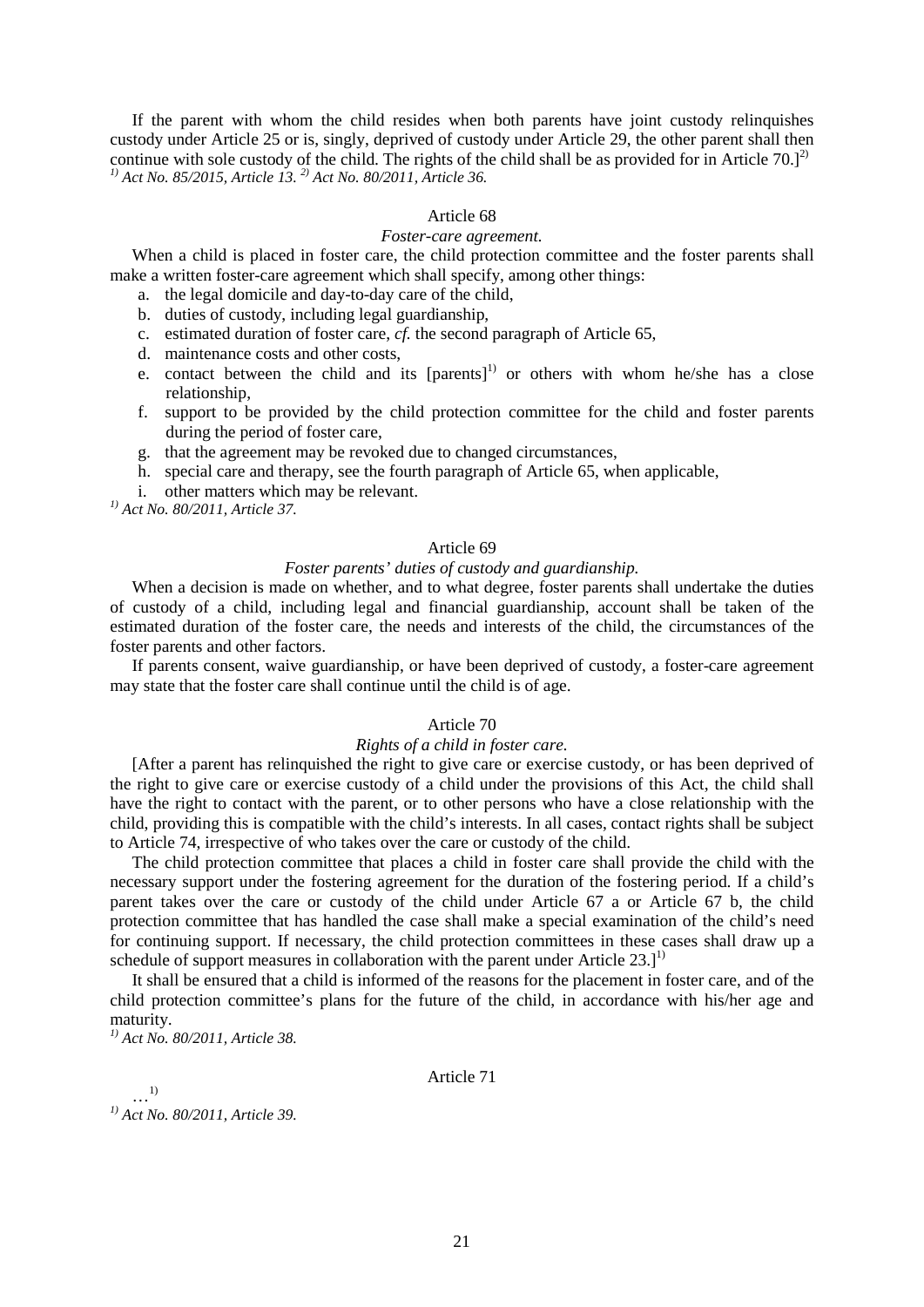If the parent with whom the child resides when both parents have joint custody relinquishes custody under Article 25 or is, singly, deprived of custody under Article 29, the other parent shall then continue with sole custody of the child. The rights of the child shall be as provided for in Article 70. $]^{2}$ *1) Act No. 85/2015, Article 13. 2) Act No. 80/2011, Article 36.*

#### Article 68

#### *Foster-care agreement.*

When a child is placed in foster care, the child protection committee and the foster parents shall make a written foster-care agreement which shall specify, among other things:

- a. the legal domicile and day-to-day care of the child,
- b. duties of custody, including legal guardianship,
- c. estimated duration of foster care, *cf.* the second paragraph of Article 65,
- d. maintenance costs and other costs,
- e. contact between the child and its  $[parents]$ <sup>1)</sup> or others with whom he/she has a close relationship,
- f. support to be provided by the child protection committee for the child and foster parents during the period of foster care,
- g. that the agreement may be revoked due to changed circumstances,
- h. special care and therapy, see the fourth paragraph of Article 65, when applicable,
- i. other matters which may be relevant.

*1) Act No. 80/2011, Article 37.* 

#### Article 69

# *Foster parents' duties of custody and guardianship.*

When a decision is made on whether, and to what degree, foster parents shall undertake the duties of custody of a child, including legal and financial guardianship, account shall be taken of the estimated duration of the foster care, the needs and interests of the child, the circumstances of the foster parents and other factors.

If parents consent, waive guardianship, or have been deprived of custody, a foster-care agreement may state that the foster care shall continue until the child is of age.

# Article 70

## *Rights of a child in foster care.*

[After a parent has relinquished the right to give care or exercise custody, or has been deprived of the right to give care or exercise custody of a child under the provisions of this Act, the child shall have the right to contact with the parent, or to other persons who have a close relationship with the child, providing this is compatible with the child's interests. In all cases, contact rights shall be subject to Article 74, irrespective of who takes over the care or custody of the child.

The child protection committee that places a child in foster care shall provide the child with the necessary support under the fostering agreement for the duration of the fostering period. If a child's parent takes over the care or custody of the child under Article 67 a or Article 67 b, the child protection committee that has handled the case shall make a special examination of the child's need for continuing support. If necessary, the child protection committees in these cases shall draw up a schedule of support measures in collaboration with the parent under Article 23.]<sup>1)</sup>

It shall be ensured that a child is informed of the reasons for the placement in foster care, and of the child protection committee's plans for the future of the child, in accordance with his/her age and maturity.

*1) Act No. 80/2011, Article 38.* 

## Article 71

…1) *1) Act No. 80/2011, Article 39.*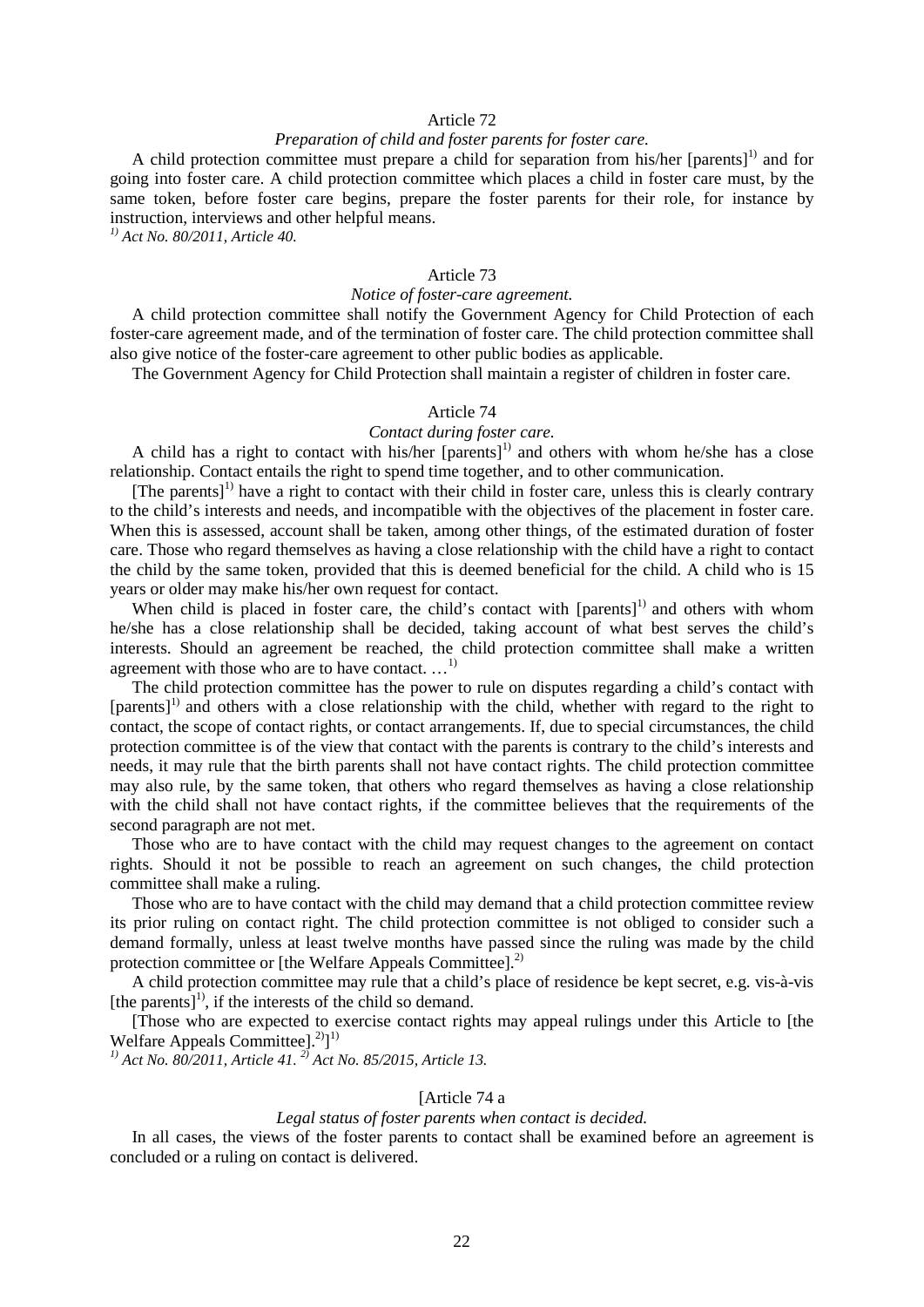## Article 72

## *Preparation of child and foster parents for foster care.*

A child protection committee must prepare a child for separation from his/her [parents]<sup>1)</sup> and for going into foster care. A child protection committee which places a child in foster care must, by the same token, before foster care begins, prepare the foster parents for their role, for instance by instruction, interviews and other helpful means.

*1) Act No. 80/2011, Article 40.* 

## Article 73

## *Notice of foster-care agreement.*

A child protection committee shall notify the Government Agency for Child Protection of each foster-care agreement made, and of the termination of foster care. The child protection committee shall also give notice of the foster-care agreement to other public bodies as applicable.

The Government Agency for Child Protection shall maintain a register of children in foster care.

## Article 74

# *Contact during foster care.*

A child has a right to contact with his/her  $[parents]$ <sup>1)</sup> and others with whom he/she has a close relationship. Contact entails the right to spend time together, and to other communication.

 $[The parents]$ <sup>1)</sup> have a right to contact with their child in foster care, unless this is clearly contrary to the child's interests and needs, and incompatible with the objectives of the placement in foster care. When this is assessed, account shall be taken, among other things, of the estimated duration of foster care. Those who regard themselves as having a close relationship with the child have a right to contact the child by the same token, provided that this is deemed beneficial for the child. A child who is 15 years or older may make his/her own request for contact.

When child is placed in foster care, the child's contact with  $[parents]$  and others with whom he/she has a close relationship shall be decided, taking account of what best serves the child's interests. Should an agreement be reached, the child protection committee shall make a written agreement with those who are to have contact.  $\dots$ <sup>1)</sup>

The child protection committee has the power to rule on disputes regarding a child's contact with  $[parents]$  and others with a close relationship with the child, whether with regard to the right to contact, the scope of contact rights, or contact arrangements. If, due to special circumstances, the child protection committee is of the view that contact with the parents is contrary to the child's interests and needs, it may rule that the birth parents shall not have contact rights. The child protection committee may also rule, by the same token, that others who regard themselves as having a close relationship with the child shall not have contact rights, if the committee believes that the requirements of the second paragraph are not met.

Those who are to have contact with the child may request changes to the agreement on contact rights. Should it not be possible to reach an agreement on such changes, the child protection committee shall make a ruling.

Those who are to have contact with the child may demand that a child protection committee review its prior ruling on contact right. The child protection committee is not obliged to consider such a demand formally, unless at least twelve months have passed since the ruling was made by the child protection committee or [the Welfare Appeals Committee].<sup>2)</sup>

A child protection committee may rule that a child's place of residence be kept secret, e.g. vis-à-vis [the parents] $^{1)}$ , if the interests of the child so demand.

[Those who are expected to exercise contact rights may appeal rulings under this Article to [the Welfare Appeals Committee].<sup>2)</sup>]<sup>1)</sup>

*1) Act No. 80/2011, Article 41. 2) Act No. 85/2015, Article 13.*

## [Article 74 a

#### *Legal status of foster parents when contact is decided.*

In all cases, the views of the foster parents to contact shall be examined before an agreement is concluded or a ruling on contact is delivered.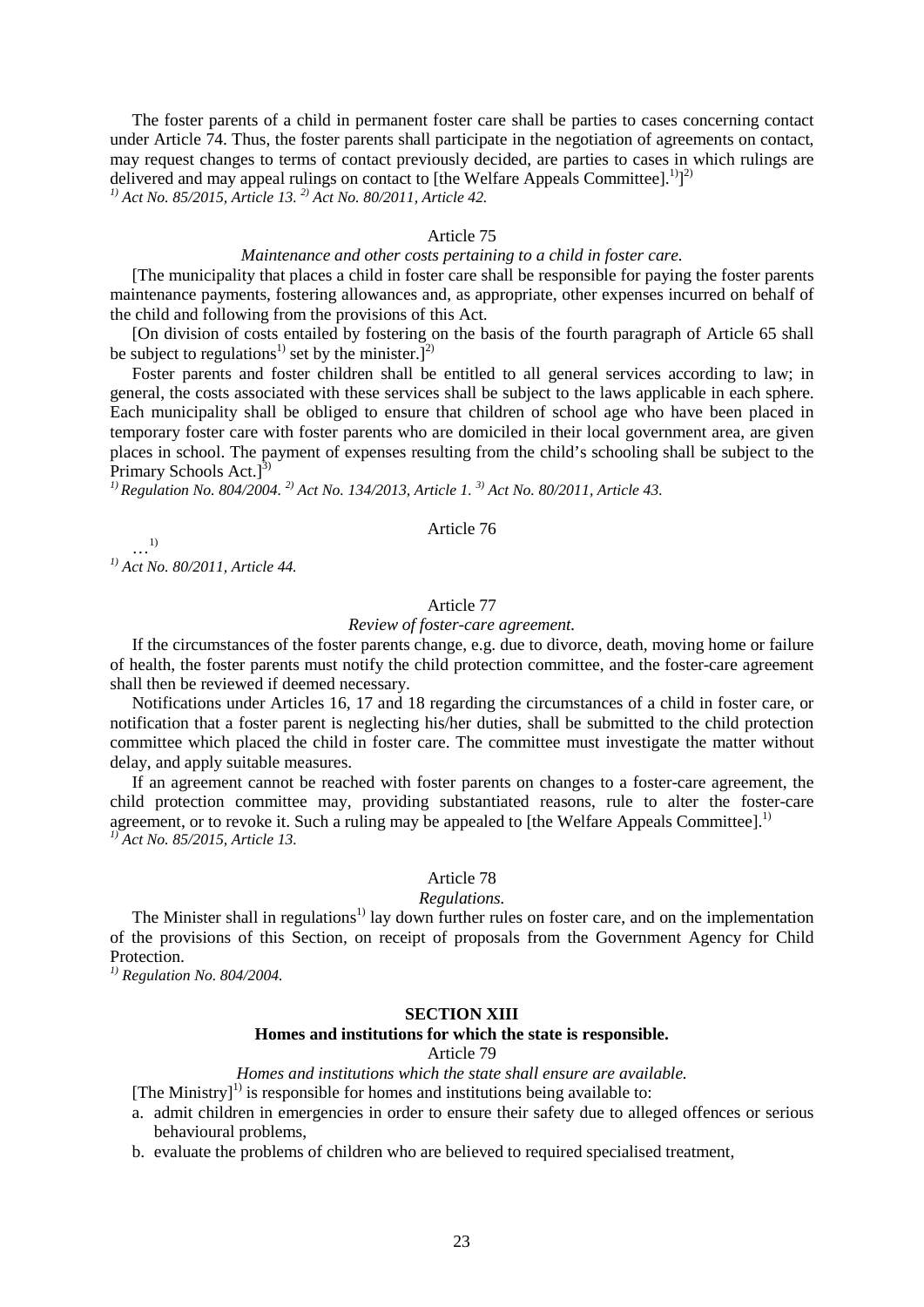The foster parents of a child in permanent foster care shall be parties to cases concerning contact under Article 74. Thus, the foster parents shall participate in the negotiation of agreements on contact, may request changes to terms of contact previously decided, are parties to cases in which rulings are delivered and may appeal rulings on contact to [the Welfare Appeals Committee].<sup>1)</sup> $]$ <sup>2)</sup> *1) Act No. 85/2015, Article 13. 2) Act No. 80/2011, Article 42.* 

#### Article 75

#### *Maintenance and other costs pertaining to a child in foster care.*

[The municipality that places a child in foster care shall be responsible for paying the foster parents maintenance payments, fostering allowances and, as appropriate, other expenses incurred on behalf of the child and following from the provisions of this Act.

[On division of costs entailed by fostering on the basis of the fourth paragraph of Article 65 shall be subject to regulations<sup>1)</sup> set by the minister.]<sup>2)</sup>

Foster parents and foster children shall be entitled to all general services according to law; in general, the costs associated with these services shall be subject to the laws applicable in each sphere. Each municipality shall be obliged to ensure that children of school age who have been placed in temporary foster care with foster parents who are domiciled in their local government area, are given places in school. The payment of expenses resulting from the child's schooling shall be subject to the Primary Schools Act.]<sup>3)</sup>

*1) Regulation No. 804/2004. 2) Act No. 134/2013, Article 1. 3) Act No. 80/2011, Article 43.*

#### Article 76

…1) *1) Act No. 80/2011, Article 44.* 

## Article 77

#### *Review of foster-care agreement.*

If the circumstances of the foster parents change, e.g. due to divorce, death, moving home or failure of health, the foster parents must notify the child protection committee, and the foster-care agreement shall then be reviewed if deemed necessary.

Notifications under Articles 16, 17 and 18 regarding the circumstances of a child in foster care, or notification that a foster parent is neglecting his/her duties, shall be submitted to the child protection committee which placed the child in foster care. The committee must investigate the matter without delay, and apply suitable measures.

If an agreement cannot be reached with foster parents on changes to a foster-care agreement, the child protection committee may, providing substantiated reasons, rule to alter the foster-care agreement, or to revoke it. Such a ruling may be appealed to [the Welfare Appeals Committee].<sup>1)</sup> *1) Act No. 85/2015, Article 13.*

# Article 78

#### *Regulations.*

The Minister shall in regulations<sup>1)</sup> lay down further rules on foster care, and on the implementation of the provisions of this Section, on receipt of proposals from the Government Agency for Child Protection.

*1) Regulation No. 804/2004.*

#### **SECTION XIII**

## **Homes and institutions for which the state is responsible.**

Article 79

# *Homes and institutions which the state shall ensure are available.*

[The Ministry]<sup>1)</sup> is responsible for homes and institutions being available to:

- a. admit children in emergencies in order to ensure their safety due to alleged offences or serious behavioural problems,
- b. evaluate the problems of children who are believed to required specialised treatment,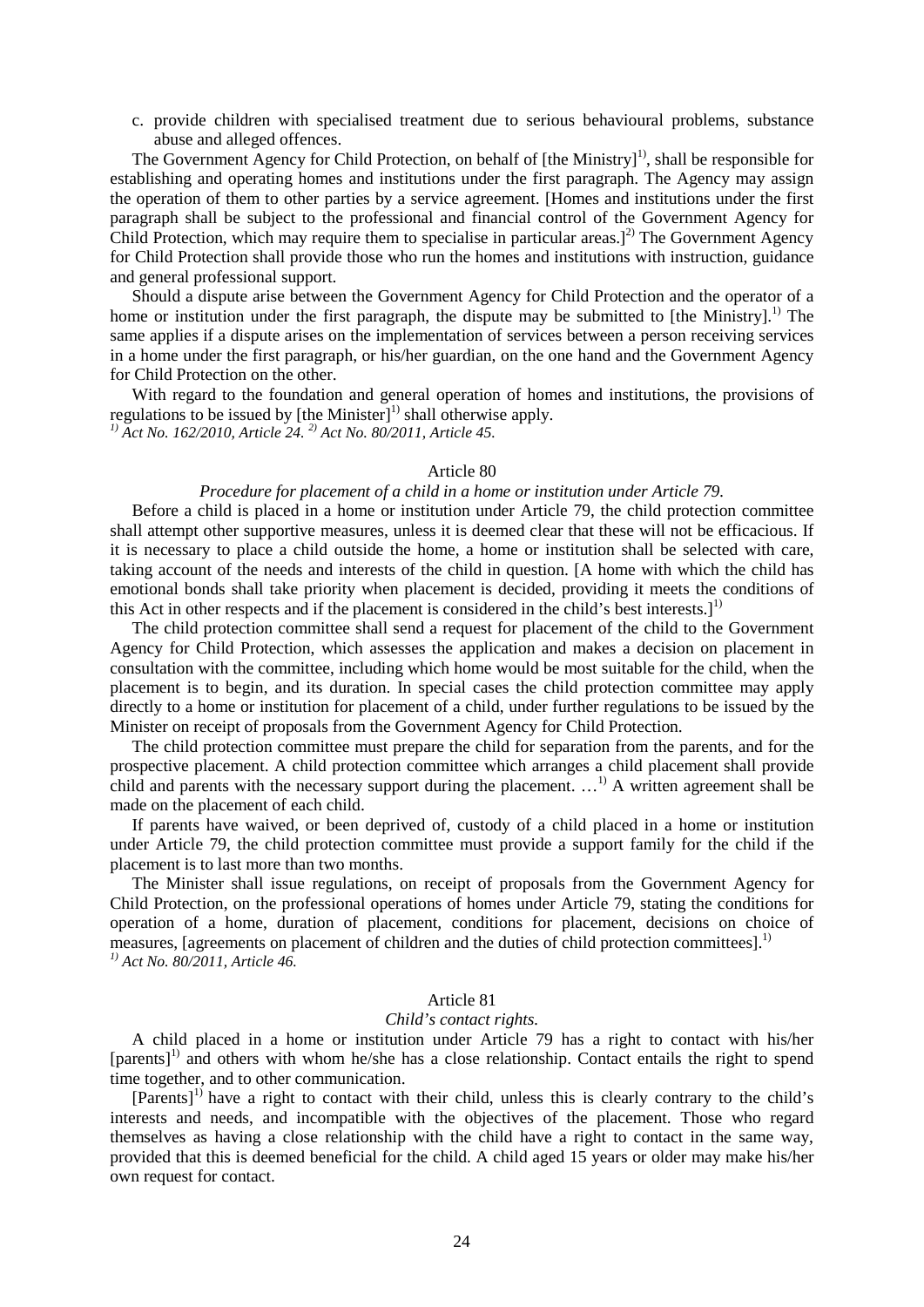c. provide children with specialised treatment due to serious behavioural problems, substance abuse and alleged offences.

The Government Agency for Child Protection, on behalf of [the Ministry]<sup>1)</sup>, shall be responsible for establishing and operating homes and institutions under the first paragraph. The Agency may assign the operation of them to other parties by a service agreement. [Homes and institutions under the first paragraph shall be subject to the professional and financial control of the Government Agency for Child Protection, which may require them to specialise in particular areas.]<sup>2)</sup> The Government Agency for Child Protection shall provide those who run the homes and institutions with instruction, guidance and general professional support.

Should a dispute arise between the Government Agency for Child Protection and the operator of a home or institution under the first paragraph, the dispute may be submitted to [the Ministry].<sup>1)</sup> The same applies if a dispute arises on the implementation of services between a person receiving services in a home under the first paragraph, or his/her guardian, on the one hand and the Government Agency for Child Protection on the other.

With regard to the foundation and general operation of homes and institutions, the provisions of regulations to be issued by [the Minister]<sup>1)</sup> shall otherwise apply. *1) Act No. 162/2010, Article 24. 2) Act No. 80/2011, Article 45.* 

#### Article 80

## *Procedure for placement of a child in a home or institution under Article 79.*

Before a child is placed in a home or institution under Article 79, the child protection committee shall attempt other supportive measures, unless it is deemed clear that these will not be efficacious. If it is necessary to place a child outside the home, a home or institution shall be selected with care, taking account of the needs and interests of the child in question. [A home with which the child has emotional bonds shall take priority when placement is decided, providing it meets the conditions of this Act in other respects and if the placement is considered in the child's best interests.]<sup>1)</sup>

The child protection committee shall send a request for placement of the child to the Government Agency for Child Protection, which assesses the application and makes a decision on placement in consultation with the committee, including which home would be most suitable for the child, when the placement is to begin, and its duration. In special cases the child protection committee may apply directly to a home or institution for placement of a child, under further regulations to be issued by the Minister on receipt of proposals from the Government Agency for Child Protection.

The child protection committee must prepare the child for separation from the parents, and for the prospective placement. A child protection committee which arranges a child placement shall provide child and parents with the necessary support during the placement. …<sup>1)</sup> A written agreement shall be made on the placement of each child.

If parents have waived, or been deprived of, custody of a child placed in a home or institution under Article 79, the child protection committee must provide a support family for the child if the placement is to last more than two months.

The Minister shall issue regulations, on receipt of proposals from the Government Agency for Child Protection, on the professional operations of homes under Article 79, stating the conditions for operation of a home, duration of placement, conditions for placement, decisions on choice of measures, [agreements on placement of children and the duties of child protection committees].<sup>1)</sup> *1) Act No. 80/2011, Article 46.* 

#### Article 81

#### *Child's contact rights.*

A child placed in a home or institution under Article 79 has a right to contact with his/her [parents]<sup>1)</sup> and others with whom he/she has a close relationship. Contact entails the right to spend time together, and to other communication.

 $[Parents<sup>1</sup>]$  have a right to contact with their child, unless this is clearly contrary to the child's interests and needs, and incompatible with the objectives of the placement. Those who regard themselves as having a close relationship with the child have a right to contact in the same way, provided that this is deemed beneficial for the child. A child aged 15 years or older may make his/her own request for contact.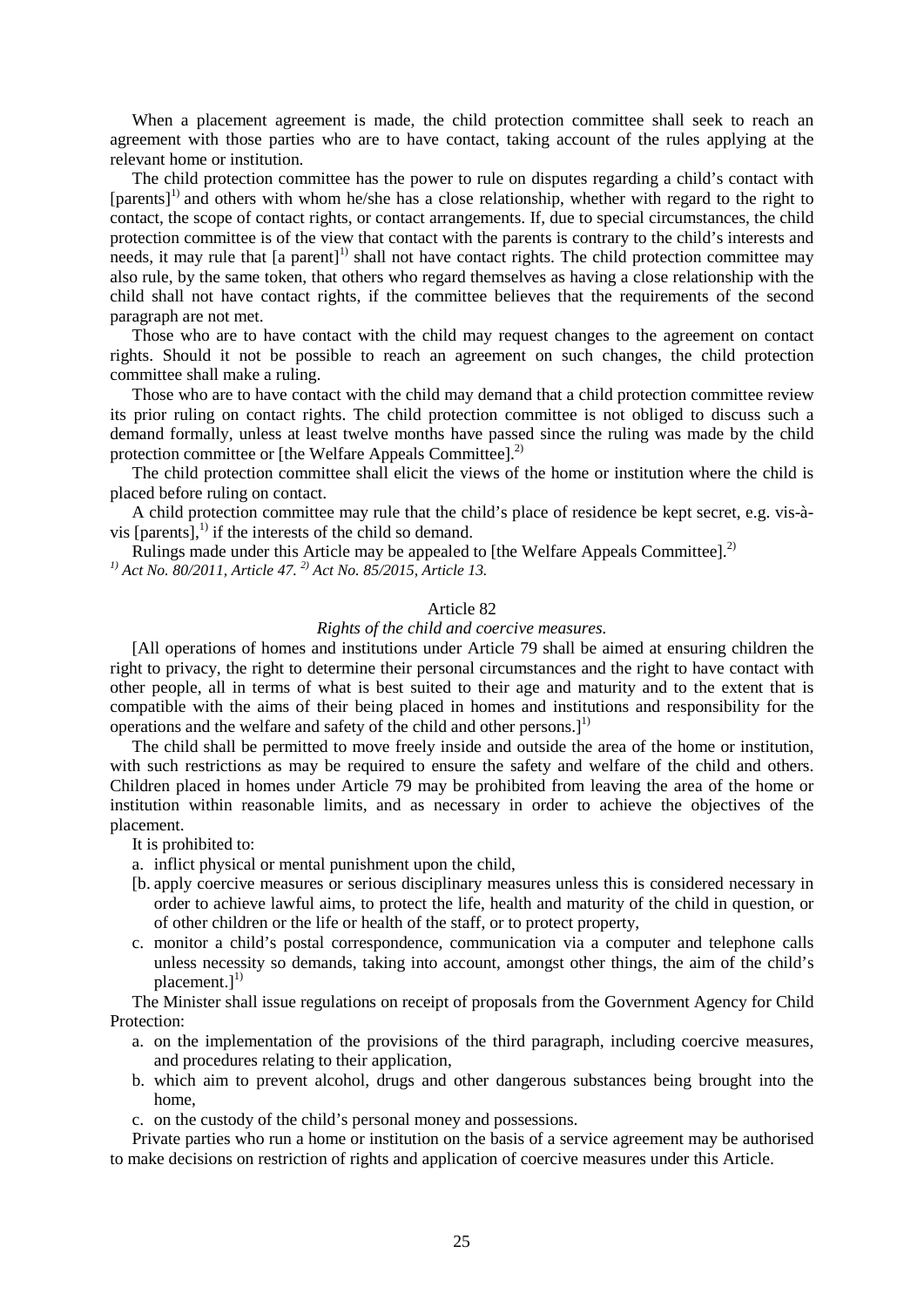When a placement agreement is made, the child protection committee shall seek to reach an agreement with those parties who are to have contact, taking account of the rules applying at the relevant home or institution.

The child protection committee has the power to rule on disputes regarding a child's contact with [parents]<sup>1)</sup> and others with whom he/she has a close relationship, whether with regard to the right to contact, the scope of contact rights, or contact arrangements. If, due to special circumstances, the child protection committee is of the view that contact with the parents is contrary to the child's interests and needs, it may rule that [a parent]<sup>1)</sup> shall not have contact rights. The child protection committee may also rule, by the same token, that others who regard themselves as having a close relationship with the child shall not have contact rights, if the committee believes that the requirements of the second paragraph are not met.

Those who are to have contact with the child may request changes to the agreement on contact rights. Should it not be possible to reach an agreement on such changes, the child protection committee shall make a ruling.

Those who are to have contact with the child may demand that a child protection committee review its prior ruling on contact rights. The child protection committee is not obliged to discuss such a demand formally, unless at least twelve months have passed since the ruling was made by the child protection committee or [the Welfare Appeals Committee].<sup>2)</sup>

The child protection committee shall elicit the views of the home or institution where the child is placed before ruling on contact.

A child protection committee may rule that the child's place of residence be kept secret, e.g. vis-àvis  $[parents]$ ,<sup>1)</sup> if the interests of the child so demand.

Rulings made under this Article may be appealed to [the Welfare Appeals Committee]. $^{2}$ *1) Act No. 80/2011, Article 47. 2) Act No. 85/2015, Article 13.*

## Article 82

# *Rights of the child and coercive measures.*

[All operations of homes and institutions under Article 79 shall be aimed at ensuring children the right to privacy, the right to determine their personal circumstances and the right to have contact with other people, all in terms of what is best suited to their age and maturity and to the extent that is compatible with the aims of their being placed in homes and institutions and responsibility for the operations and the welfare and safety of the child and other persons.]<sup>1)</sup>

The child shall be permitted to move freely inside and outside the area of the home or institution, with such restrictions as may be required to ensure the safety and welfare of the child and others. Children placed in homes under Article 79 may be prohibited from leaving the area of the home or institution within reasonable limits, and as necessary in order to achieve the objectives of the placement.

It is prohibited to:

a. inflict physical or mental punishment upon the child,

- [b. apply coercive measures or serious disciplinary measures unless this is considered necessary in order to achieve lawful aims, to protect the life, health and maturity of the child in question, or of other children or the life or health of the staff, or to protect property,
- c. monitor a child's postal correspondence, communication via a computer and telephone calls unless necessity so demands, taking into account, amongst other things, the aim of the child's placement.]<sup>1)</sup>

The Minister shall issue regulations on receipt of proposals from the Government Agency for Child Protection:

- a. on the implementation of the provisions of the third paragraph, including coercive measures, and procedures relating to their application,
- b. which aim to prevent alcohol, drugs and other dangerous substances being brought into the home,
- c. on the custody of the child's personal money and possessions.

Private parties who run a home or institution on the basis of a service agreement may be authorised to make decisions on restriction of rights and application of coercive measures under this Article.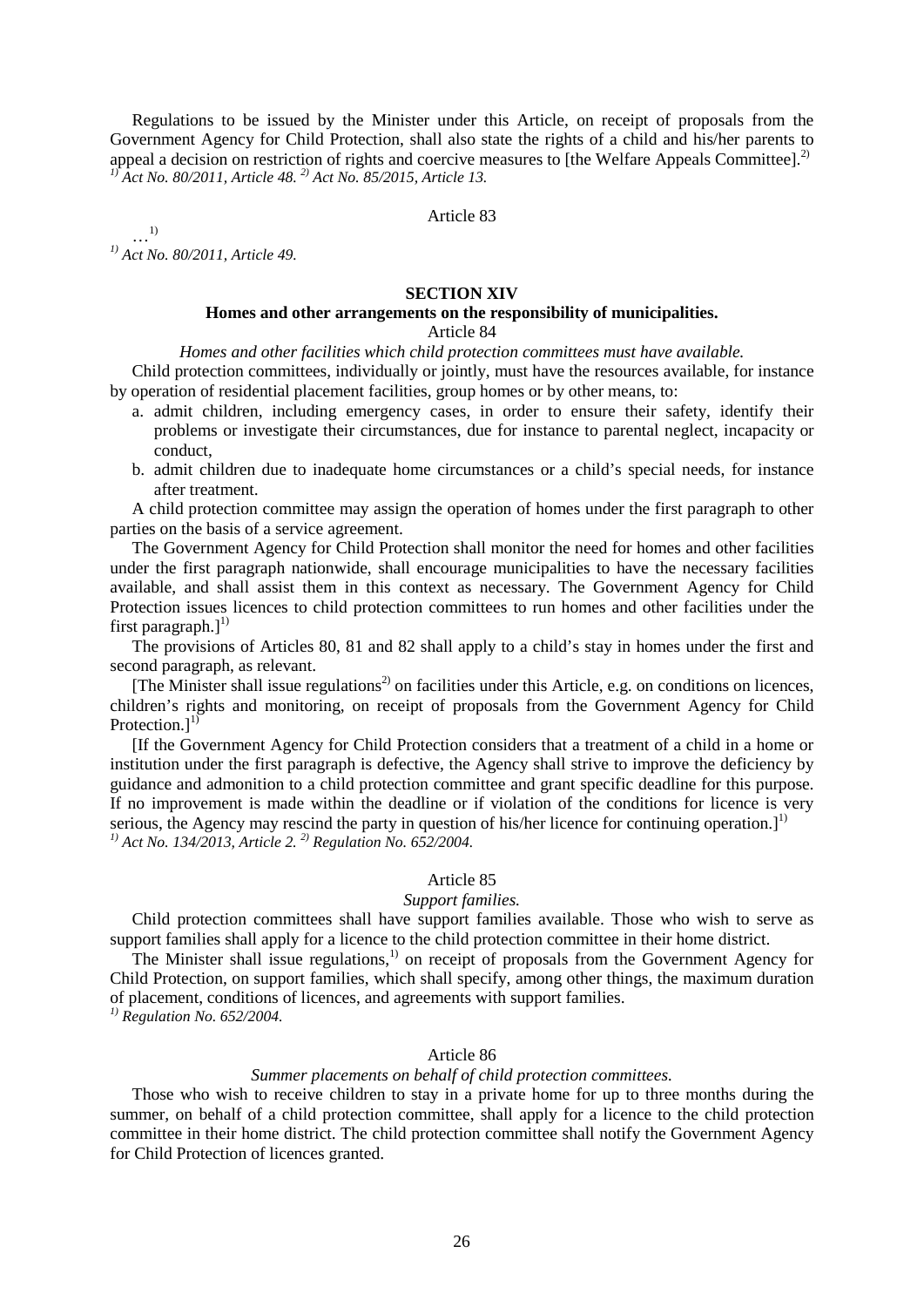Regulations to be issued by the Minister under this Article, on receipt of proposals from the Government Agency for Child Protection, shall also state the rights of a child and his/her parents to appeal a decision on restriction of rights and coercive measures to [the Welfare Appeals Committee].<sup>2)</sup> *1) Act No. 80/2011, Article 48. 2) Act No. 85/2015, Article 13.*

Article 83

…1) *1) Act No. 80/2011, Article 49.* 

#### **SECTION XIV**

# **Homes and other arrangements on the responsibility of municipalities.**

# Article 84

*Homes and other facilities which child protection committees must have available.*

Child protection committees, individually or jointly, must have the resources available, for instance by operation of residential placement facilities, group homes or by other means, to:

- a. admit children, including emergency cases, in order to ensure their safety, identify their problems or investigate their circumstances, due for instance to parental neglect, incapacity or conduct,
- b. admit children due to inadequate home circumstances or a child's special needs, for instance after treatment.

A child protection committee may assign the operation of homes under the first paragraph to other parties on the basis of a service agreement.

The Government Agency for Child Protection shall monitor the need for homes and other facilities under the first paragraph nationwide, shall encourage municipalities to have the necessary facilities available, and shall assist them in this context as necessary. The Government Agency for Child Protection issues licences to child protection committees to run homes and other facilities under the first paragraph.]<sup>1)</sup>

The provisions of Articles 80, 81 and 82 shall apply to a child's stay in homes under the first and second paragraph, as relevant.

[The Minister shall issue regulations<sup>2)</sup> on facilities under this Article, e.g. on conditions on licences, children's rights and monitoring, on receipt of proposals from the Government Agency for Child Protection.]<sup>1)</sup>

[If the Government Agency for Child Protection considers that a treatment of a child in a home or institution under the first paragraph is defective, the Agency shall strive to improve the deficiency by guidance and admonition to a child protection committee and grant specific deadline for this purpose. If no improvement is made within the deadline or if violation of the conditions for licence is very serious, the Agency may rescind the party in question of his/her licence for continuing operation.]<sup>1)</sup> *1) Act No. 134/2013, Article 2. 2) Regulation No. 652/2004.*

## Article 85

## *Support families.*

Child protection committees shall have support families available. Those who wish to serve as support families shall apply for a licence to the child protection committee in their home district.

The Minister shall issue regulations,<sup>1)</sup> on receipt of proposals from the Government Agency for Child Protection, on support families, which shall specify, among other things, the maximum duration of placement, conditions of licences, and agreements with support families. *1) Regulation No. 652/2004.*

## Article 86

#### *Summer placements on behalf of child protection committees.*

Those who wish to receive children to stay in a private home for up to three months during the summer, on behalf of a child protection committee, shall apply for a licence to the child protection committee in their home district. The child protection committee shall notify the Government Agency for Child Protection of licences granted.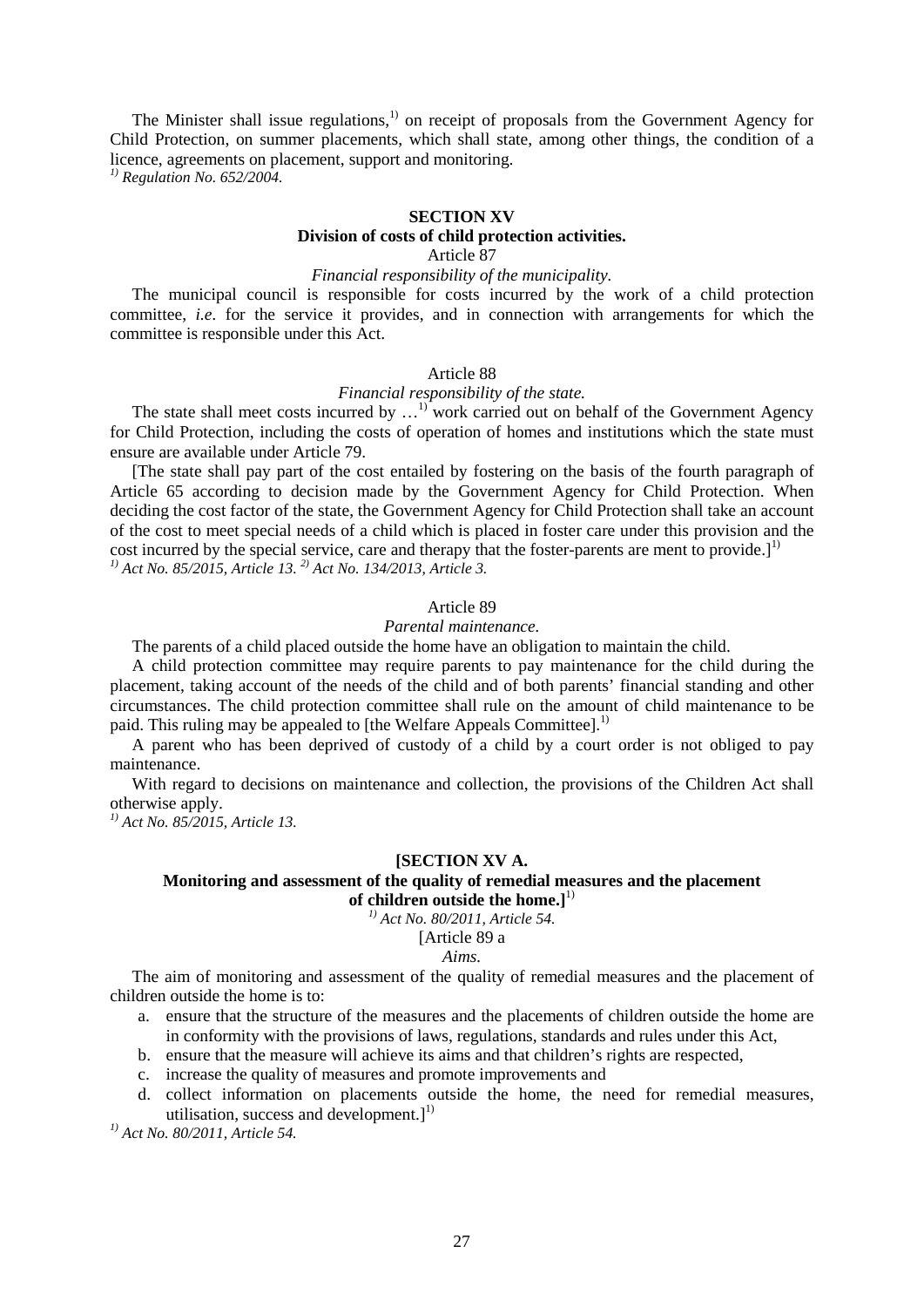The Minister shall issue regulations,<sup>1)</sup> on receipt of proposals from the Government Agency for Child Protection, on summer placements, which shall state, among other things, the condition of a licence, agreements on placement, support and monitoring.

*1) Regulation No. 652/2004.*

## **SECTION XV**

# **Division of costs of child protection activities.**

# Article 87

## *Financial responsibility of the municipality.*

The municipal council is responsible for costs incurred by the work of a child protection committee, *i.e.* for the service it provides, and in connection with arrangements for which the committee is responsible under this Act.

#### Article 88

#### *Financial responsibility of the state.*

The state shall meet costs incurred by  $\dots$ <sup>1)</sup> work carried out on behalf of the Government Agency for Child Protection, including the costs of operation of homes and institutions which the state must ensure are available under Article 79.

[The state shall pay part of the cost entailed by fostering on the basis of the fourth paragraph of Article 65 according to decision made by the Government Agency for Child Protection. When deciding the cost factor of the state, the Government Agency for Child Protection shall take an account of the cost to meet special needs of a child which is placed in foster care under this provision and the cost incurred by the special service, care and therapy that the foster-parents are ment to provide.]<sup>1)</sup> *1) Act No. 85/2015, Article 13. 2) Act No. 134/2013, Article 3.* 

## Article 89

## *Parental maintenance.*

The parents of a child placed outside the home have an obligation to maintain the child.

A child protection committee may require parents to pay maintenance for the child during the placement, taking account of the needs of the child and of both parents' financial standing and other circumstances. The child protection committee shall rule on the amount of child maintenance to be paid. This ruling may be appealed to [the Welfare Appeals Committee].<sup>1)</sup>

A parent who has been deprived of custody of a child by a court order is not obliged to pay maintenance.

With regard to decisions on maintenance and collection, the provisions of the Children Act shall otherwise apply.

*1) Act No. 85/2015, Article 13.*

## **[SECTION XV A.**

## **Monitoring and assessment of the quality of remedial measures and the placement of children outside the home.]** 1)

*1) Act No. 80/2011, Article 54.*

#### [Article 89 a

## *Aims.*

The aim of monitoring and assessment of the quality of remedial measures and the placement of children outside the home is to:

- a. ensure that the structure of the measures and the placements of children outside the home are in conformity with the provisions of laws, regulations, standards and rules under this Act,
- b. ensure that the measure will achieve its aims and that children's rights are respected,
- c. increase the quality of measures and promote improvements and
- d. collect information on placements outside the home, the need for remedial measures, utilisation, success and development.]<sup>1)</sup>

*1) Act No. 80/2011, Article 54.*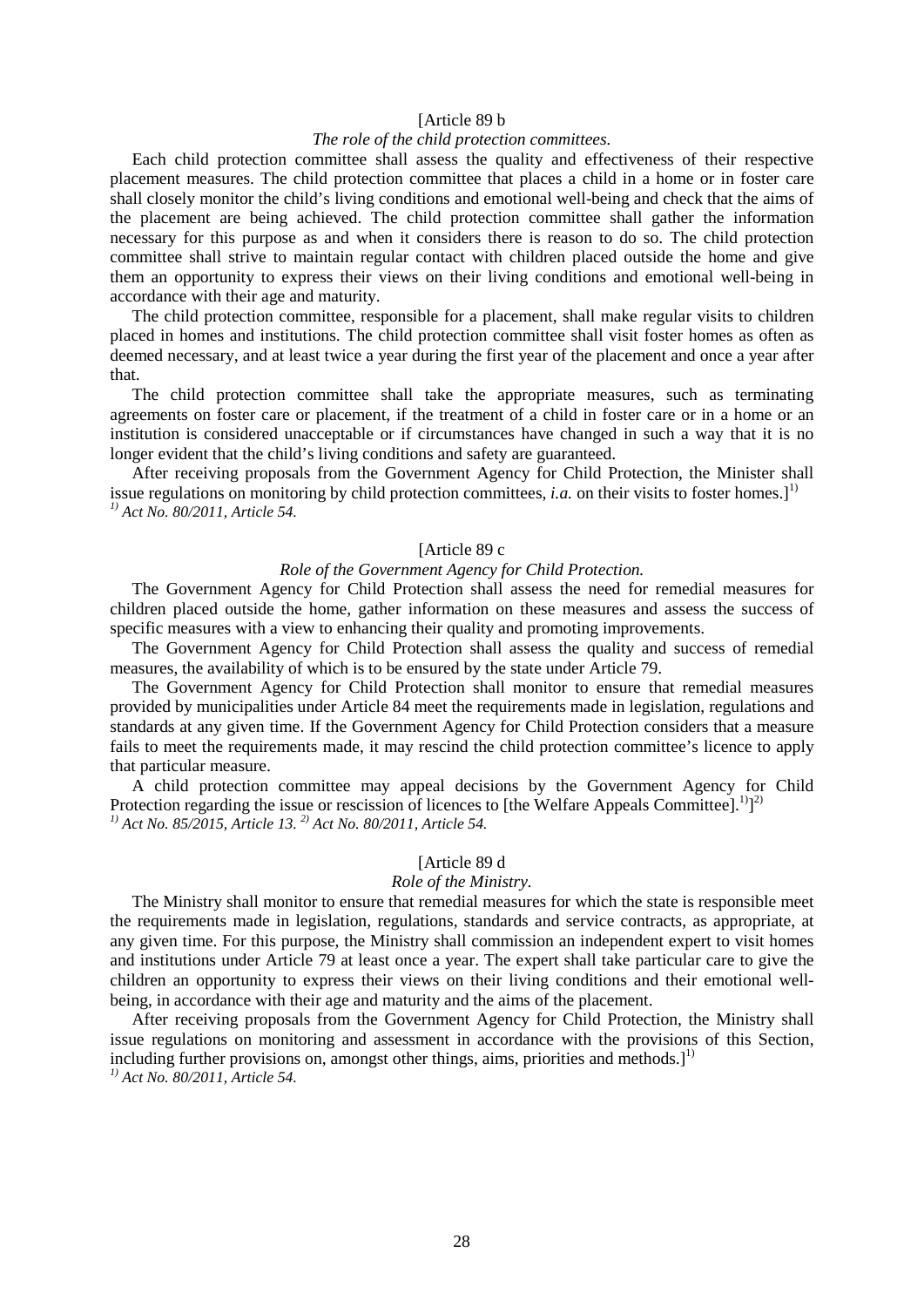#### [Article 89 b

## *The role of the child protection committees.*

Each child protection committee shall assess the quality and effectiveness of their respective placement measures. The child protection committee that places a child in a home or in foster care shall closely monitor the child's living conditions and emotional well-being and check that the aims of the placement are being achieved. The child protection committee shall gather the information necessary for this purpose as and when it considers there is reason to do so. The child protection committee shall strive to maintain regular contact with children placed outside the home and give them an opportunity to express their views on their living conditions and emotional well-being in accordance with their age and maturity.

The child protection committee, responsible for a placement, shall make regular visits to children placed in homes and institutions. The child protection committee shall visit foster homes as often as deemed necessary, and at least twice a year during the first year of the placement and once a year after that.

The child protection committee shall take the appropriate measures, such as terminating agreements on foster care or placement, if the treatment of a child in foster care or in a home or an institution is considered unacceptable or if circumstances have changed in such a way that it is no longer evident that the child's living conditions and safety are guaranteed.

After receiving proposals from the Government Agency for Child Protection, the Minister shall issue regulations on monitoring by child protection committees, *i.a.* on their visits to foster homes.]<sup>1)</sup> *1) Act No. 80/2011, Article 54.* 

## [Article 89 c

# *Role of the Government Agency for Child Protection.*

The Government Agency for Child Protection shall assess the need for remedial measures for children placed outside the home, gather information on these measures and assess the success of specific measures with a view to enhancing their quality and promoting improvements.

The Government Agency for Child Protection shall assess the quality and success of remedial measures, the availability of which is to be ensured by the state under Article 79.

The Government Agency for Child Protection shall monitor to ensure that remedial measures provided by municipalities under Article 84 meet the requirements made in legislation, regulations and standards at any given time. If the Government Agency for Child Protection considers that a measure fails to meet the requirements made, it may rescind the child protection committee's licence to apply that particular measure.

A child protection committee may appeal decisions by the Government Agency for Child Protection regarding the issue or rescission of licences to [the Welfare Appeals Committee].<sup>1)</sup> $]$ <sup>2)</sup> *1) Act No. 85/2015, Article 13. 2) Act No. 80/2011, Article 54.* 

#### [Article 89 d

## *Role of the Ministry.*

The Ministry shall monitor to ensure that remedial measures for which the state is responsible meet the requirements made in legislation, regulations, standards and service contracts, as appropriate, at any given time. For this purpose, the Ministry shall commission an independent expert to visit homes and institutions under Article 79 at least once a year. The expert shall take particular care to give the children an opportunity to express their views on their living conditions and their emotional wellbeing, in accordance with their age and maturity and the aims of the placement.

After receiving proposals from the Government Agency for Child Protection, the Ministry shall issue regulations on monitoring and assessment in accordance with the provisions of this Section, including further provisions on, amongst other things, aims, priorities and methods.]<sup>1)</sup> *1) Act No. 80/2011, Article 54.*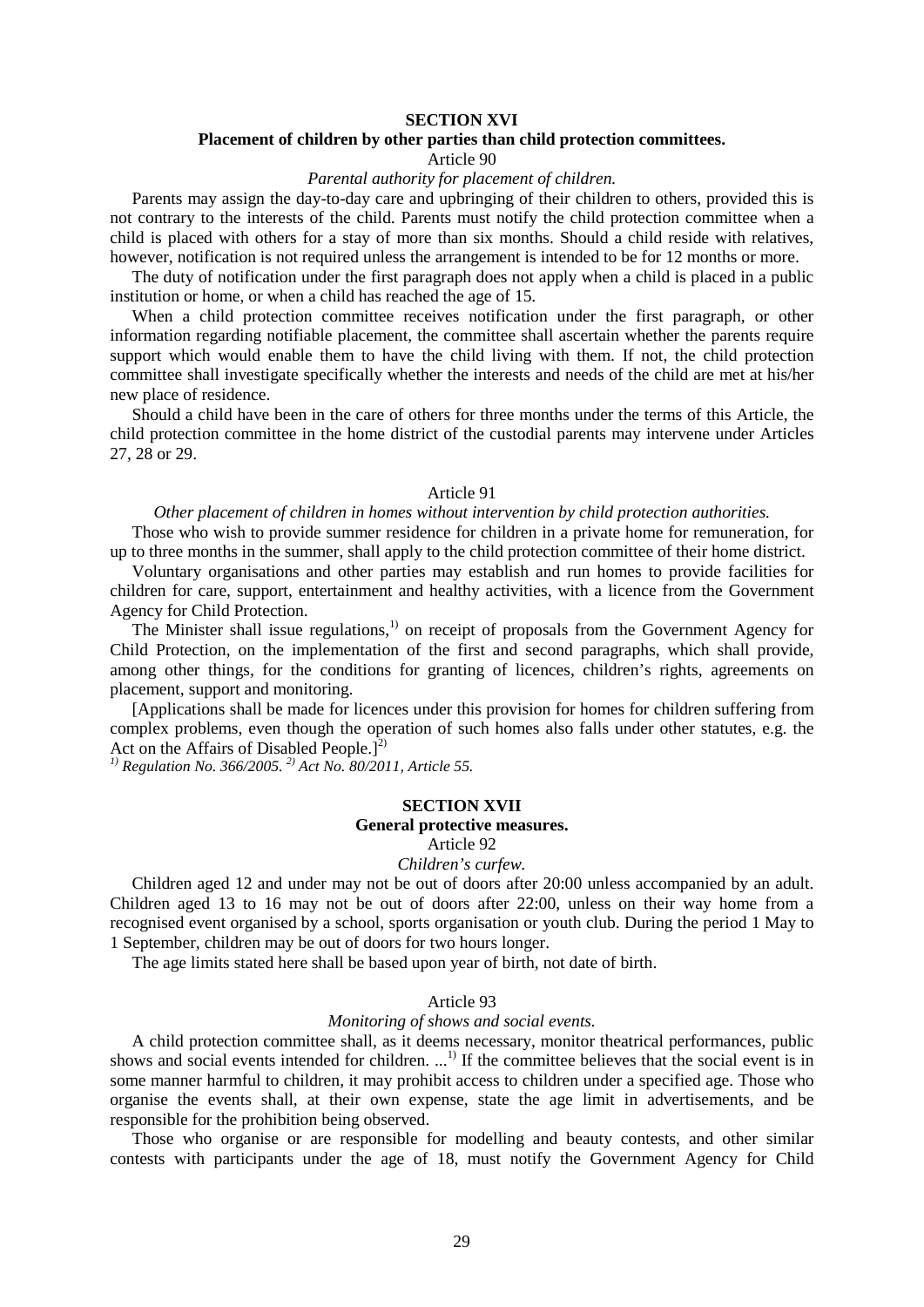## **SECTION XVI**

## **Placement of children by other parties than child protection committees.**

Article 90

## *Parental authority for placement of children.*

Parents may assign the day-to-day care and upbringing of their children to others, provided this is not contrary to the interests of the child. Parents must notify the child protection committee when a child is placed with others for a stay of more than six months. Should a child reside with relatives, however, notification is not required unless the arrangement is intended to be for 12 months or more.

The duty of notification under the first paragraph does not apply when a child is placed in a public institution or home, or when a child has reached the age of 15.

When a child protection committee receives notification under the first paragraph, or other information regarding notifiable placement, the committee shall ascertain whether the parents require support which would enable them to have the child living with them. If not, the child protection committee shall investigate specifically whether the interests and needs of the child are met at his/her new place of residence.

Should a child have been in the care of others for three months under the terms of this Article, the child protection committee in the home district of the custodial parents may intervene under Articles 27, 28 or 29.

## Article 91

## *Other placement of children in homes without intervention by child protection authorities.*

Those who wish to provide summer residence for children in a private home for remuneration, for up to three months in the summer, shall apply to the child protection committee of their home district.

Voluntary organisations and other parties may establish and run homes to provide facilities for children for care, support, entertainment and healthy activities, with a licence from the Government Agency for Child Protection.

The Minister shall issue regulations,<sup>1)</sup> on receipt of proposals from the Government Agency for Child Protection, on the implementation of the first and second paragraphs, which shall provide, among other things, for the conditions for granting of licences, children's rights, agreements on placement, support and monitoring.

[Applications shall be made for licences under this provision for homes for children suffering from complex problems, even though the operation of such homes also falls under other statutes, e.g. the Act on the Affairs of Disabled People.]<sup>2)</sup>

*1) Regulation No. 366/2005. 2) Act No. 80/2011, Article 55.*

## **SECTION XVII General protective measures.**

Article 92

## *Children's curfew.*

Children aged 12 and under may not be out of doors after 20:00 unless accompanied by an adult. Children aged 13 to 16 may not be out of doors after 22:00, unless on their way home from a recognised event organised by a school, sports organisation or youth club. During the period 1 May to 1 September, children may be out of doors for two hours longer.

The age limits stated here shall be based upon year of birth, not date of birth.

#### Article 93

#### *Monitoring of shows and social events.*

A child protection committee shall, as it deems necessary, monitor theatrical performances, public shows and social events intended for children. ...<sup>1)</sup> If the committee believes that the social event is in some manner harmful to children, it may prohibit access to children under a specified age. Those who organise the events shall, at their own expense, state the age limit in advertisements, and be responsible for the prohibition being observed.

Those who organise or are responsible for modelling and beauty contests, and other similar contests with participants under the age of 18, must notify the Government Agency for Child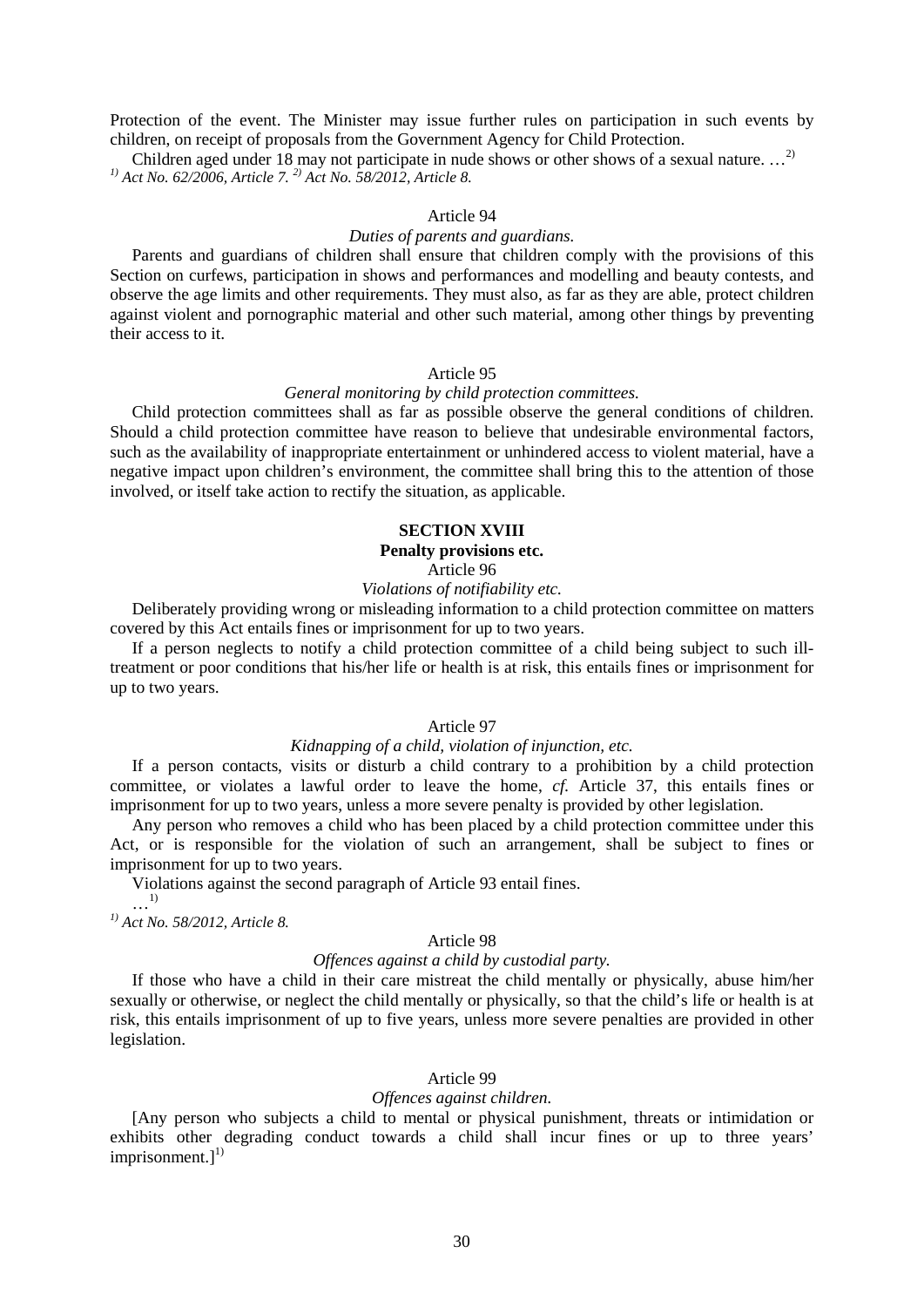Protection of the event. The Minister may issue further rules on participation in such events by children, on receipt of proposals from the Government Agency for Child Protection.

Children aged under 18 may not participate in nude shows or other shows of a sexual nature. ...<sup>2)</sup> *1) Act No. 62/2006, Article 7. 2) Act No. 58/2012, Article 8.*

## Article 94

## *Duties of parents and guardians.*

Parents and guardians of children shall ensure that children comply with the provisions of this Section on curfews, participation in shows and performances and modelling and beauty contests, and observe the age limits and other requirements. They must also, as far as they are able, protect children against violent and pornographic material and other such material, among other things by preventing their access to it.

#### Article 95

#### *General monitoring by child protection committees.*

Child protection committees shall as far as possible observe the general conditions of children. Should a child protection committee have reason to believe that undesirable environmental factors, such as the availability of inappropriate entertainment or unhindered access to violent material, have a negative impact upon children's environment, the committee shall bring this to the attention of those involved, or itself take action to rectify the situation, as applicable.

#### **SECTION XVIII**

# **Penalty provisions etc.**

# Article 96

# *Violations of notifiability etc.*

Deliberately providing wrong or misleading information to a child protection committee on matters covered by this Act entails fines or imprisonment for up to two years.

If a person neglects to notify a child protection committee of a child being subject to such illtreatment or poor conditions that his/her life or health is at risk, this entails fines or imprisonment for up to two years.

## Article 97

#### *Kidnapping of a child, violation of injunction, etc.*

If a person contacts, visits or disturb a child contrary to a prohibition by a child protection committee, or violates a lawful order to leave the home, *cf.* Article 37, this entails fines or imprisonment for up to two years, unless a more severe penalty is provided by other legislation.

Any person who removes a child who has been placed by a child protection committee under this Act, or is responsible for the violation of such an arrangement, shall be subject to fines or imprisonment for up to two years.

Violations against the second paragraph of Article 93 entail fines.

…1)

*1) Act No. 58/2012, Article 8.* 

#### Article 98

## *Offences against a child by custodial party.*

If those who have a child in their care mistreat the child mentally or physically, abuse him/her sexually or otherwise, or neglect the child mentally or physically, so that the child's life or health is at risk, this entails imprisonment of up to five years, unless more severe penalties are provided in other legislation.

## Article 99

## *Offences against children.*

[Any person who subjects a child to mental or physical punishment, threats or intimidation or exhibits other degrading conduct towards a child shall incur fines or up to three years'  $imprisomment.$ ]<sup>1)</sup>